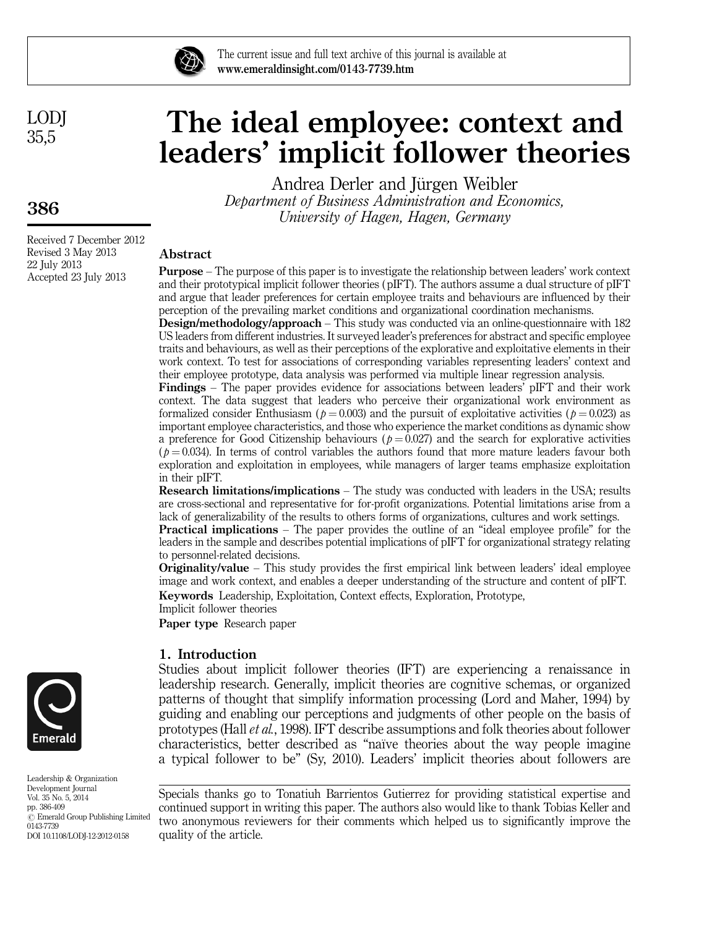

LODJ 35,5

# 386

Received 7 December 2012 Revised 3 May 2013 22 July 2013 Accepted 23 July 2013

# The ideal employee: context and leaders' implicit follower theories

Andrea Derler and Jürgen Weibler Department of Business Administration and Economics, University of Hagen, Hagen, Germany

#### Abstract

Purpose – The purpose of this paper is to investigate the relationship between leaders' work context and their prototypical implicit follower theories ( pIFT). The authors assume a dual structure of pIFT and argue that leader preferences for certain employee traits and behaviours are influenced by their perception of the prevailing market conditions and organizational coordination mechanisms.

Design/methodology/approach – This study was conducted via an online-questionnaire with 182 US leaders from different industries. It surveyed leader's preferences for abstract and specific employee traits and behaviours, as well as their perceptions of the explorative and exploitative elements in their work context. To test for associations of corresponding variables representing leaders' context and their employee prototype, data analysis was performed via multiple linear regression analysis.

Findings – The paper provides evidence for associations between leaders' pIFT and their work context. The data suggest that leaders who perceive their organizational work environment as formalized consider Enthusiasm ( $p = 0.003$ ) and the pursuit of exploitative activities ( $p = 0.023$ ) as important employee characteristics, and those who experience the market conditions as dynamic show a preference for Good Citizenship behaviours ( $p = 0.027$ ) and the search for explorative activities  $(p = 0.034)$ . In terms of control variables the authors found that more mature leaders favour both exploration and exploitation in employees, while managers of larger teams emphasize exploitation in their pIFT.

Research limitations/implications – The study was conducted with leaders in the USA; results are cross-sectional and representative for for-profit organizations. Potential limitations arise from a lack of generalizability of the results to others forms of organizations, cultures and work settings.

Practical implications – The paper provides the outline of an "ideal employee profile" for the leaders in the sample and describes potential implications of pIFT for organizational strategy relating to personnel-related decisions.

Originality/value – This study provides the first empirical link between leaders' ideal employee image and work context, and enables a deeper understanding of the structure and content of pIFT. Keywords Leadership, Exploitation, Context effects, Exploration, Prototype,

Implicit follower theories

Paper type Research paper

# 1. Introduction

Studies about implicit follower theories (IFT) are experiencing a renaissance in leadership research. Generally, implicit theories are cognitive schemas, or organized patterns of thought that simplify information processing (Lord and Maher, 1994) by guiding and enabling our perceptions and judgments of other people on the basis of prototypes (Hall et al., 1998). IFT describe assumptions and folk theories about follower characteristics, better described as "naïve theories about the way people imagine a typical follower to be" (Sy, 2010). Leaders' implicit theories about followers are

Specials thanks go to Tonatiuh Barrientos Gutierrez for providing statistical expertise and continued support in writing this paper. The authors also would like to thank Tobias Keller and two anonymous reviewers for their comments which helped us to significantly improve the quality of the article.



Leadership & Organization Development Journal Vol. 35 No. 5, 2014 pp. 386-409 r Emerald Group Publishing Limited 0143-7739 DOI 10.1108/LODJ-12-2012-0158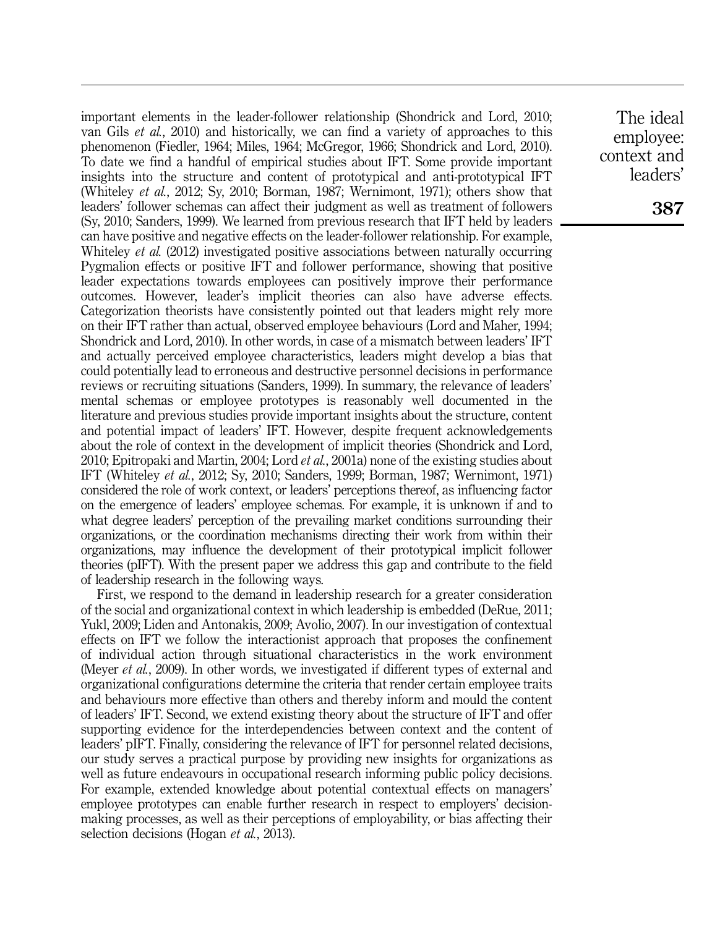important elements in the leader-follower relationship (Shondrick and Lord, 2010; van Gils et al., 2010) and historically, we can find a variety of approaches to this phenomenon (Fiedler, 1964; Miles, 1964; McGregor, 1966; Shondrick and Lord, 2010). To date we find a handful of empirical studies about IFT. Some provide important insights into the structure and content of prototypical and anti-prototypical IFT (Whiteley et al., 2012; Sy, 2010; Borman, 1987; Wernimont, 1971); others show that leaders' follower schemas can affect their judgment as well as treatment of followers (Sy, 2010; Sanders, 1999). We learned from previous research that IFT held by leaders can have positive and negative effects on the leader-follower relationship. For example, Whiteley *et al.* (2012) investigated positive associations between naturally occurring Pygmalion effects or positive IFT and follower performance, showing that positive leader expectations towards employees can positively improve their performance outcomes. However, leader's implicit theories can also have adverse effects. Categorization theorists have consistently pointed out that leaders might rely more on their IFT rather than actual, observed employee behaviours (Lord and Maher, 1994; Shondrick and Lord, 2010). In other words, in case of a mismatch between leaders' IFT and actually perceived employee characteristics, leaders might develop a bias that could potentially lead to erroneous and destructive personnel decisions in performance reviews or recruiting situations (Sanders, 1999). In summary, the relevance of leaders' mental schemas or employee prototypes is reasonably well documented in the literature and previous studies provide important insights about the structure, content and potential impact of leaders' IFT. However, despite frequent acknowledgements about the role of context in the development of implicit theories (Shondrick and Lord, 2010; Epitropaki and Martin, 2004; Lord et al., 2001a) none of the existing studies about IFT (Whiteley et al., 2012; Sy, 2010; Sanders, 1999; Borman, 1987; Wernimont, 1971) considered the role of work context, or leaders' perceptions thereof, as influencing factor on the emergence of leaders' employee schemas. For example, it is unknown if and to what degree leaders' perception of the prevailing market conditions surrounding their organizations, or the coordination mechanisms directing their work from within their organizations, may influence the development of their prototypical implicit follower theories (pIFT). With the present paper we address this gap and contribute to the field of leadership research in the following ways.

First, we respond to the demand in leadership research for a greater consideration of the social and organizational context in which leadership is embedded (DeRue, 2011; Yukl, 2009; Liden and Antonakis, 2009; Avolio, 2007). In our investigation of contextual effects on IFT we follow the interactionist approach that proposes the confinement of individual action through situational characteristics in the work environment (Meyer *et al.*, 2009). In other words, we investigated if different types of external and organizational configurations determine the criteria that render certain employee traits and behaviours more effective than others and thereby inform and mould the content of leaders' IFT. Second, we extend existing theory about the structure of IFT and offer supporting evidence for the interdependencies between context and the content of leaders' pIFT. Finally, considering the relevance of IFT for personnel related decisions, our study serves a practical purpose by providing new insights for organizations as well as future endeavours in occupational research informing public policy decisions. For example, extended knowledge about potential contextual effects on managers' employee prototypes can enable further research in respect to employers' decisionmaking processes, as well as their perceptions of employability, or bias affecting their selection decisions (Hogan *et al.*, 2013).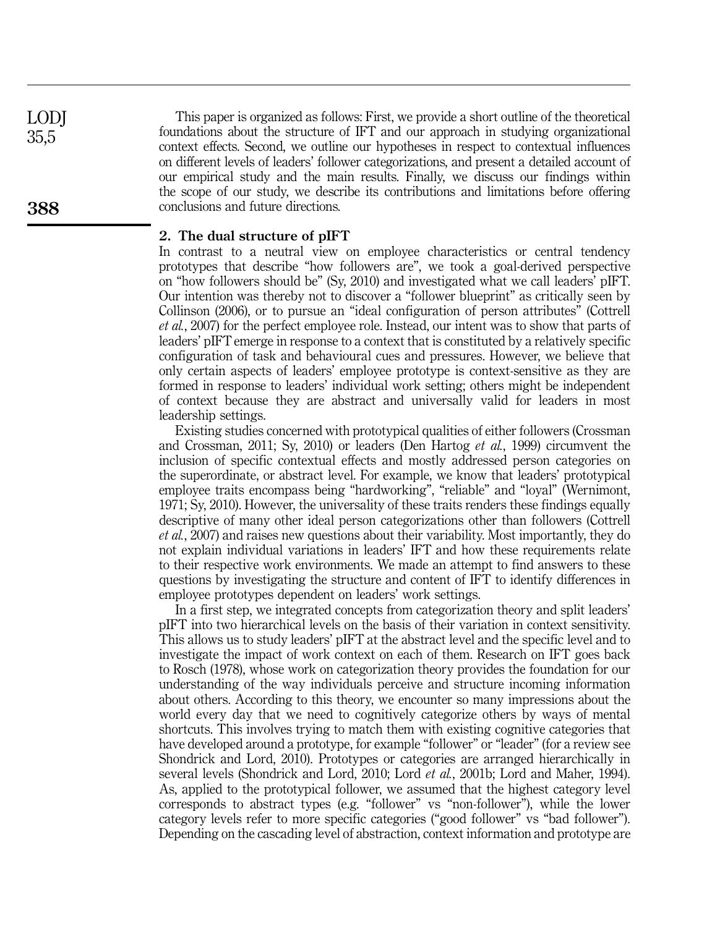This paper is organized as follows: First, we provide a short outline of the theoretical foundations about the structure of IFT and our approach in studying organizational context effects. Second, we outline our hypotheses in respect to contextual influences on different levels of leaders' follower categorizations, and present a detailed account of our empirical study and the main results. Finally, we discuss our findings within the scope of our study, we describe its contributions and limitations before offering conclusions and future directions.

#### 2. The dual structure of pIFT

In contrast to a neutral view on employee characteristics or central tendency prototypes that describe "how followers are", we took a goal-derived perspective on "how followers should be" (Sy, 2010) and investigated what we call leaders' pIFT. Our intention was thereby not to discover a "follower blueprint" as critically seen by Collinson (2006), or to pursue an "ideal configuration of person attributes" (Cottrell et al., 2007) for the perfect employee role. Instead, our intent was to show that parts of leaders' pIFT emerge in response to a context that is constituted by a relatively specific configuration of task and behavioural cues and pressures. However, we believe that only certain aspects of leaders' employee prototype is context-sensitive as they are formed in response to leaders' individual work setting; others might be independent of context because they are abstract and universally valid for leaders in most leadership settings.

Existing studies concerned with prototypical qualities of either followers (Crossman and Crossman, 2011; Sy, 2010) or leaders (Den Hartog et al., 1999) circumvent the inclusion of specific contextual effects and mostly addressed person categories on the superordinate, or abstract level. For example, we know that leaders' prototypical employee traits encompass being "hardworking", "reliable" and "loyal" (Wernimont, 1971; Sy, 2010). However, the universality of these traits renders these findings equally descriptive of many other ideal person categorizations other than followers (Cottrell et al., 2007) and raises new questions about their variability. Most importantly, they do not explain individual variations in leaders' IFT and how these requirements relate to their respective work environments. We made an attempt to find answers to these questions by investigating the structure and content of IFT to identify differences in employee prototypes dependent on leaders' work settings.

In a first step, we integrated concepts from categorization theory and split leaders' pIFT into two hierarchical levels on the basis of their variation in context sensitivity. This allows us to study leaders' pIFT at the abstract level and the specific level and to investigate the impact of work context on each of them. Research on IFT goes back to Rosch (1978), whose work on categorization theory provides the foundation for our understanding of the way individuals perceive and structure incoming information about others. According to this theory, we encounter so many impressions about the world every day that we need to cognitively categorize others by ways of mental shortcuts. This involves trying to match them with existing cognitive categories that have developed around a prototype, for example "follower" or "leader" (for a review see Shondrick and Lord, 2010). Prototypes or categories are arranged hierarchically in several levels (Shondrick and Lord, 2010; Lord et al., 2001b; Lord and Maher, 1994). As, applied to the prototypical follower, we assumed that the highest category level corresponds to abstract types (e.g. "follower" vs "non-follower"), while the lower category levels refer to more specific categories ("good follower" vs "bad follower"). Depending on the cascading level of abstraction, context information and prototype are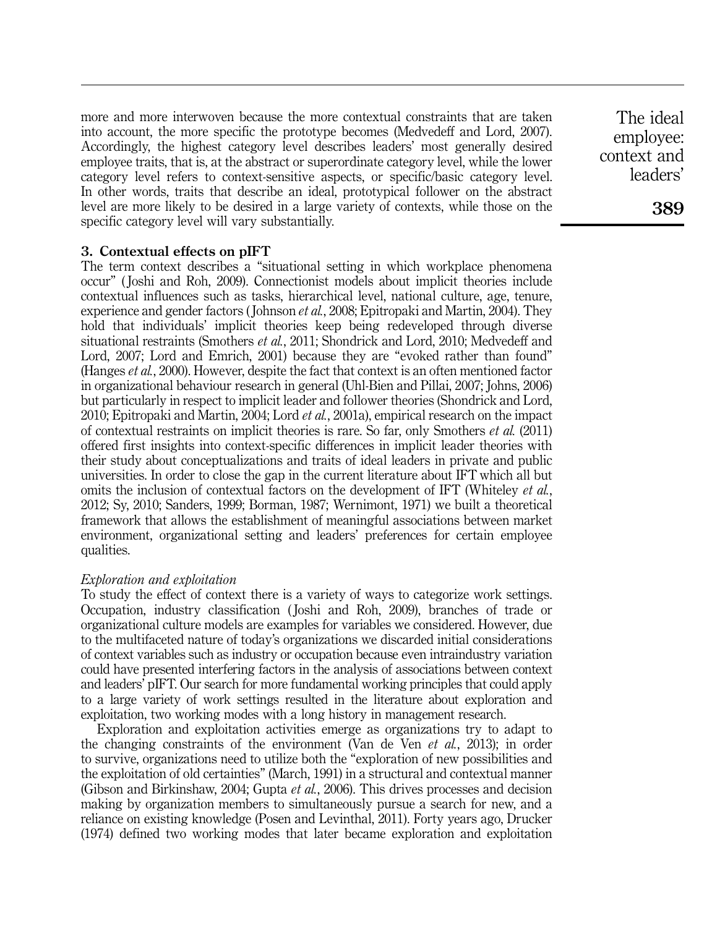more and more interwoven because the more contextual constraints that are taken into account, the more specific the prototype becomes (Medvedeff and Lord, 2007). Accordingly, the highest category level describes leaders' most generally desired employee traits, that is, at the abstract or superordinate category level, while the lower category level refers to context-sensitive aspects, or specific/basic category level. In other words, traits that describe an ideal, prototypical follower on the abstract level are more likely to be desired in a large variety of contexts, while those on the specific category level will vary substantially.

# 3. Contextual effects on pIFT

The term context describes a "situational setting in which workplace phenomena occur" ( Joshi and Roh, 2009). Connectionist models about implicit theories include contextual influences such as tasks, hierarchical level, national culture, age, tenure, experience and gender factors (Johnson *et al.*, 2008; Epitropaki and Martin, 2004). They hold that individuals' implicit theories keep being redeveloped through diverse situational restraints (Smothers *et al.*, 2011; Shondrick and Lord, 2010; Medvedeff and Lord, 2007; Lord and Emrich, 2001) because they are "evoked rather than found" (Hanges et al., 2000). However, despite the fact that context is an often mentioned factor in organizational behaviour research in general (Uhl-Bien and Pillai, 2007; Johns, 2006) but particularly in respect to implicit leader and follower theories (Shondrick and Lord, 2010; Epitropaki and Martin, 2004; Lord et al., 2001a), empirical research on the impact of contextual restraints on implicit theories is rare. So far, only Smothers et al. (2011) offered first insights into context-specific differences in implicit leader theories with their study about conceptualizations and traits of ideal leaders in private and public universities. In order to close the gap in the current literature about IFT which all but omits the inclusion of contextual factors on the development of  $\Gamma\Gamma$  (Whiteley *et al.*, 2012; Sy, 2010; Sanders, 1999; Borman, 1987; Wernimont, 1971) we built a theoretical framework that allows the establishment of meaningful associations between market environment, organizational setting and leaders' preferences for certain employee qualities.

# Exploration and exploitation

To study the effect of context there is a variety of ways to categorize work settings. Occupation, industry classification ( Joshi and Roh, 2009), branches of trade or organizational culture models are examples for variables we considered. However, due to the multifaceted nature of today's organizations we discarded initial considerations of context variables such as industry or occupation because even intraindustry variation could have presented interfering factors in the analysis of associations between context and leaders' pIFT. Our search for more fundamental working principles that could apply to a large variety of work settings resulted in the literature about exploration and exploitation, two working modes with a long history in management research.

Exploration and exploitation activities emerge as organizations try to adapt to the changing constraints of the environment (Van de Ven et al., 2013); in order to survive, organizations need to utilize both the "exploration of new possibilities and the exploitation of old certainties" (March, 1991) in a structural and contextual manner (Gibson and Birkinshaw, 2004; Gupta et al., 2006). This drives processes and decision making by organization members to simultaneously pursue a search for new, and a reliance on existing knowledge (Posen and Levinthal, 2011). Forty years ago, Drucker (1974) defined two working modes that later became exploration and exploitation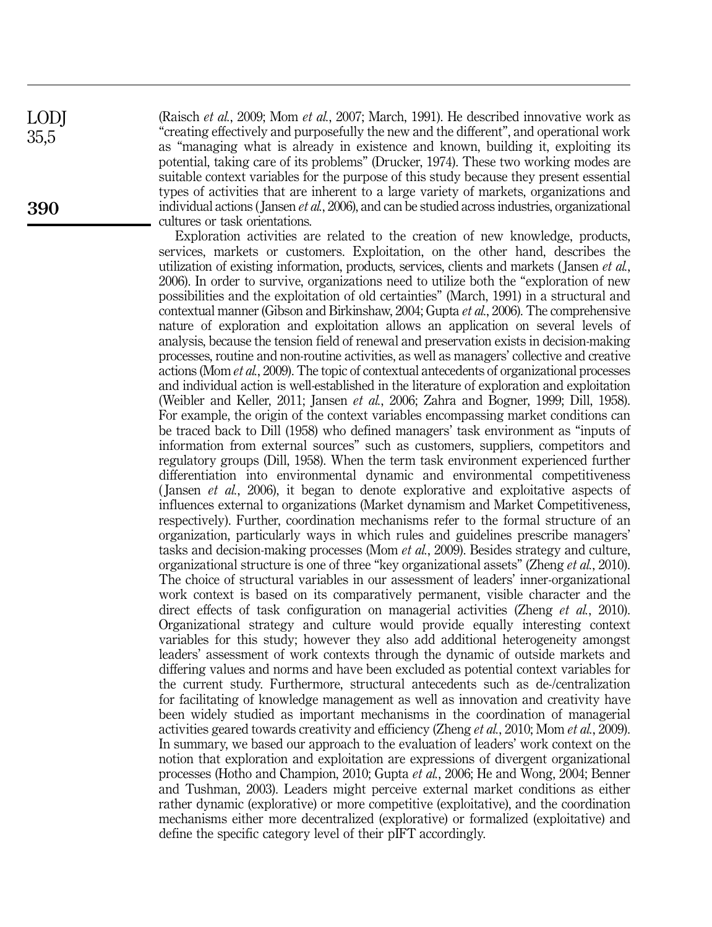(Raisch et al., 2009; Mom et al., 2007; March, 1991). He described innovative work as "creating effectively and purposefully the new and the different", and operational work as "managing what is already in existence and known, building it, exploiting its potential, taking care of its problems" (Drucker, 1974). These two working modes are suitable context variables for the purpose of this study because they present essential types of activities that are inherent to a large variety of markets, organizations and individual actions (Jansen et al., 2006), and can be studied across industries, organizational cultures or task orientations.

Exploration activities are related to the creation of new knowledge, products, services, markets or customers. Exploitation, on the other hand, describes the utilization of existing information, products, services, clients and markets (Jansen et al., 2006). In order to survive, organizations need to utilize both the "exploration of new possibilities and the exploitation of old certainties" (March, 1991) in a structural and contextual manner (Gibson and Birkinshaw, 2004; Gupta et al., 2006). The comprehensive nature of exploration and exploitation allows an application on several levels of analysis, because the tension field of renewal and preservation exists in decision-making processes, routine and non-routine activities, as well as managers' collective and creative actions (Mom et al., 2009). The topic of contextual antecedents of organizational processes and individual action is well-established in the literature of exploration and exploitation (Weibler and Keller, 2011; Jansen et al., 2006; Zahra and Bogner, 1999; Dill, 1958). For example, the origin of the context variables encompassing market conditions can be traced back to Dill (1958) who defined managers' task environment as "inputs of information from external sources" such as customers, suppliers, competitors and regulatory groups (Dill, 1958). When the term task environment experienced further differentiation into environmental dynamic and environmental competitiveness (Jansen *et al.*, 2006), it began to denote explorative and exploitative aspects of influences external to organizations (Market dynamism and Market Competitiveness, respectively). Further, coordination mechanisms refer to the formal structure of an organization, particularly ways in which rules and guidelines prescribe managers' tasks and decision-making processes (Mom et al., 2009). Besides strategy and culture, organizational structure is one of three "key organizational assets" (Zheng et al., 2010). The choice of structural variables in our assessment of leaders' inner-organizational work context is based on its comparatively permanent, visible character and the direct effects of task configuration on managerial activities (Zheng et al., 2010). Organizational strategy and culture would provide equally interesting context variables for this study; however they also add additional heterogeneity amongst leaders' assessment of work contexts through the dynamic of outside markets and differing values and norms and have been excluded as potential context variables for the current study. Furthermore, structural antecedents such as de-/centralization for facilitating of knowledge management as well as innovation and creativity have been widely studied as important mechanisms in the coordination of managerial activities geared towards creativity and efficiency (Zheng et al., 2010; Mom et al., 2009). In summary, we based our approach to the evaluation of leaders' work context on the notion that exploration and exploitation are expressions of divergent organizational processes (Hotho and Champion, 2010; Gupta et al., 2006; He and Wong, 2004; Benner and Tushman, 2003). Leaders might perceive external market conditions as either rather dynamic (explorative) or more competitive (exploitative), and the coordination mechanisms either more decentralized (explorative) or formalized (exploitative) and define the specific category level of their pIFT accordingly.

LODJ 35,5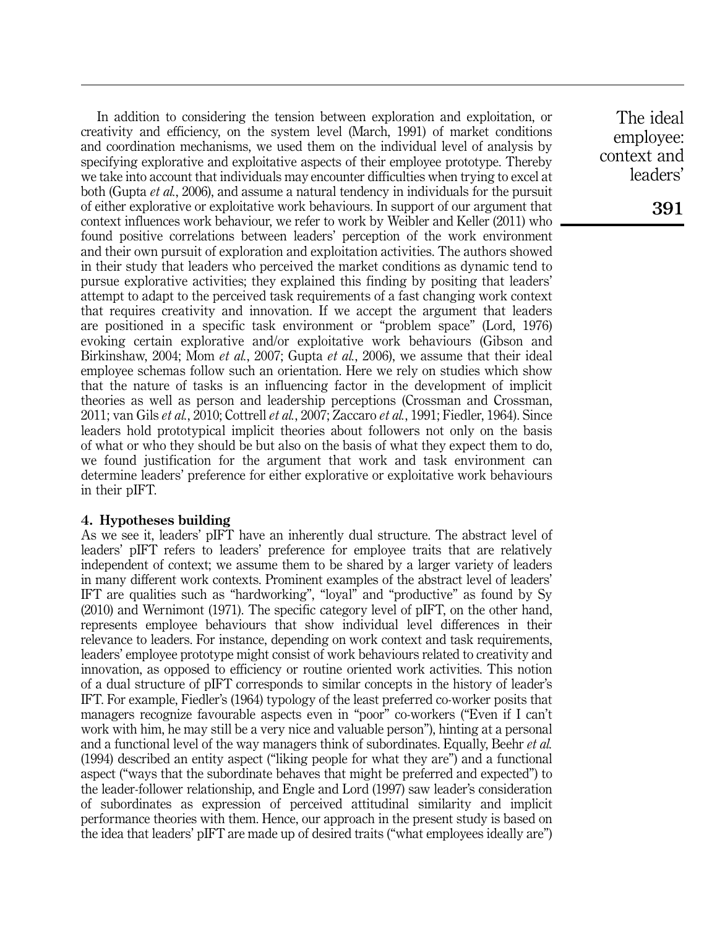In addition to considering the tension between exploration and exploitation, or creativity and efficiency, on the system level (March, 1991) of market conditions and coordination mechanisms, we used them on the individual level of analysis by specifying explorative and exploitative aspects of their employee prototype. Thereby we take into account that individuals may encounter difficulties when trying to excel at both (Gupta et al., 2006), and assume a natural tendency in individuals for the pursuit of either explorative or exploitative work behaviours. In support of our argument that context influences work behaviour, we refer to work by Weibler and Keller (2011) who found positive correlations between leaders' perception of the work environment and their own pursuit of exploration and exploitation activities. The authors showed in their study that leaders who perceived the market conditions as dynamic tend to pursue explorative activities; they explained this finding by positing that leaders' attempt to adapt to the perceived task requirements of a fast changing work context that requires creativity and innovation. If we accept the argument that leaders are positioned in a specific task environment or "problem space" (Lord, 1976) evoking certain explorative and/or exploitative work behaviours (Gibson and Birkinshaw, 2004; Mom et al., 2007; Gupta et al., 2006), we assume that their ideal employee schemas follow such an orientation. Here we rely on studies which show that the nature of tasks is an influencing factor in the development of implicit theories as well as person and leadership perceptions (Crossman and Crossman, 2011; van Gils et al., 2010; Cottrell et al., 2007; Zaccaro et al., 1991; Fiedler, 1964). Since leaders hold prototypical implicit theories about followers not only on the basis of what or who they should be but also on the basis of what they expect them to do, we found justification for the argument that work and task environment can determine leaders' preference for either explorative or exploitative work behaviours in their pIFT.

#### 4. Hypotheses building

As we see it, leaders' pIFT have an inherently dual structure. The abstract level of leaders' pIFT refers to leaders' preference for employee traits that are relatively independent of context; we assume them to be shared by a larger variety of leaders in many different work contexts. Prominent examples of the abstract level of leaders' IFT are qualities such as "hardworking", "loyal" and "productive" as found by Sy (2010) and Wernimont (1971). The specific category level of pIFT, on the other hand, represents employee behaviours that show individual level differences in their relevance to leaders. For instance, depending on work context and task requirements, leaders' employee prototype might consist of work behaviours related to creativity and innovation, as opposed to efficiency or routine oriented work activities. This notion of a dual structure of pIFT corresponds to similar concepts in the history of leader's IFT. For example, Fiedler's (1964) typology of the least preferred co-worker posits that managers recognize favourable aspects even in "poor" co-workers ("Even if I can't work with him, he may still be a very nice and valuable person"), hinting at a personal and a functional level of the way managers think of subordinates. Equally, Beehr et al. (1994) described an entity aspect ("liking people for what they are") and a functional aspect ("ways that the subordinate behaves that might be preferred and expected") to the leader-follower relationship, and Engle and Lord (1997) saw leader's consideration of subordinates as expression of perceived attitudinal similarity and implicit performance theories with them. Hence, our approach in the present study is based on the idea that leaders' pIFT are made up of desired traits ("what employees ideally are")

The ideal employee: context and leaders'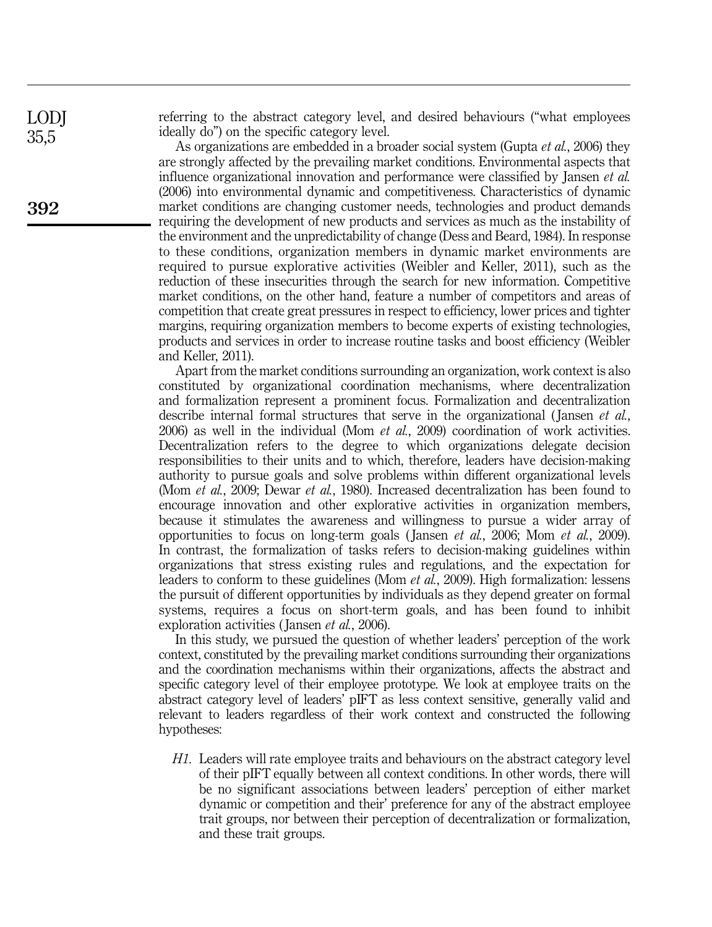referring to the abstract category level, and desired behaviours ("what employees ideally do") on the specific category level.

As organizations are embedded in a broader social system (Gupta *et al.*, 2006) they are strongly affected by the prevailing market conditions. Environmental aspects that influence organizational innovation and performance were classified by Jansen et al. (2006) into environmental dynamic and competitiveness. Characteristics of dynamic market conditions are changing customer needs, technologies and product demands requiring the development of new products and services as much as the instability of the environment and the unpredictability of change (Dess and Beard, 1984). In response to these conditions, organization members in dynamic market environments are required to pursue explorative activities (Weibler and Keller, 2011), such as the reduction of these insecurities through the search for new information. Competitive market conditions, on the other hand, feature a number of competitors and areas of competition that create great pressures in respect to efficiency, lower prices and tighter margins, requiring organization members to become experts of existing technologies, products and services in order to increase routine tasks and boost efficiency (Weibler and Keller, 2011).

Apart from the market conditions surrounding an organization, work context is also constituted by organizational coordination mechanisms, where decentralization and formalization represent a prominent focus. Formalization and decentralization describe internal formal structures that serve in the organizational (Jansen *et al.*, 2006) as well in the individual (Mom et al., 2009) coordination of work activities. Decentralization refers to the degree to which organizations delegate decision responsibilities to their units and to which, therefore, leaders have decision-making authority to pursue goals and solve problems within different organizational levels (Mom et al., 2009; Dewar et al., 1980). Increased decentralization has been found to encourage innovation and other explorative activities in organization members, because it stimulates the awareness and willingness to pursue a wider array of opportunities to focus on long-term goals ( Jansen et al., 2006; Mom et al., 2009). In contrast, the formalization of tasks refers to decision-making guidelines within organizations that stress existing rules and regulations, and the expectation for leaders to conform to these guidelines (Mom et al., 2009). High formalization: lessens the pursuit of different opportunities by individuals as they depend greater on formal systems, requires a focus on short-term goals, and has been found to inhibit exploration activities ( Jansen et al., 2006).

In this study, we pursued the question of whether leaders' perception of the work context, constituted by the prevailing market conditions surrounding their organizations and the coordination mechanisms within their organizations, affects the abstract and specific category level of their employee prototype. We look at employee traits on the abstract category level of leaders' pIFT as less context sensitive, generally valid and relevant to leaders regardless of their work context and constructed the following hypotheses:

H1. Leaders will rate employee traits and behaviours on the abstract category level of their pIFT equally between all context conditions. In other words, there will be no significant associations between leaders' perception of either market dynamic or competition and their' preference for any of the abstract employee trait groups, nor between their perception of decentralization or formalization, and these trait groups.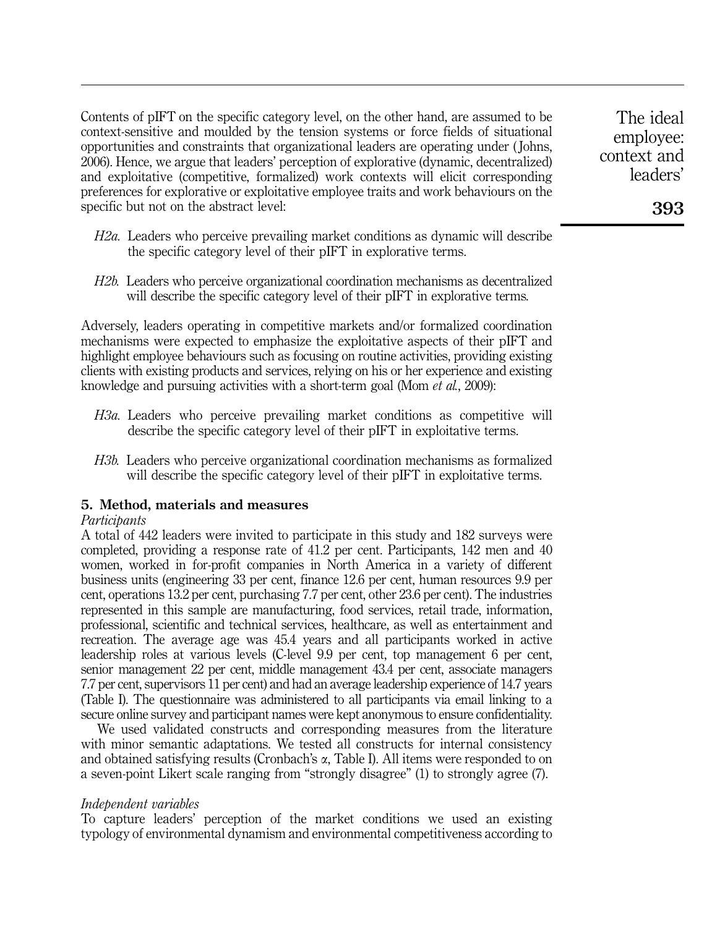Contents of pIFT on the specific category level, on the other hand, are assumed to be context-sensitive and moulded by the tension systems or force fields of situational opportunities and constraints that organizational leaders are operating under ( Johns, 2006). Hence, we argue that leaders' perception of explorative (dynamic, decentralized) and exploitative (competitive, formalized) work contexts will elicit corresponding preferences for explorative or exploitative employee traits and work behaviours on the specific but not on the abstract level:

- H2a. Leaders who perceive prevailing market conditions as dynamic will describe the specific category level of their pIFT in explorative terms.
- H2b. Leaders who perceive organizational coordination mechanisms as decentralized will describe the specific category level of their pIFT in explorative terms.

Adversely, leaders operating in competitive markets and/or formalized coordination mechanisms were expected to emphasize the exploitative aspects of their pIFT and highlight employee behaviours such as focusing on routine activities, providing existing clients with existing products and services, relying on his or her experience and existing knowledge and pursuing activities with a short-term goal (Mom *et al.*, 2009):

- H3a. Leaders who perceive prevailing market conditions as competitive will describe the specific category level of their pIFT in exploitative terms.
- H3b. Leaders who perceive organizational coordination mechanisms as formalized will describe the specific category level of their pIFT in exploitative terms.

# 5. Method, materials and measures

#### **Participants**

A total of 442 leaders were invited to participate in this study and 182 surveys were completed, providing a response rate of 41.2 per cent. Participants, 142 men and 40 women, worked in for-profit companies in North America in a variety of different business units (engineering 33 per cent, finance 12.6 per cent, human resources 9.9 per cent, operations 13.2 per cent, purchasing 7.7 per cent, other 23.6 per cent). The industries represented in this sample are manufacturing, food services, retail trade, information, professional, scientific and technical services, healthcare, as well as entertainment and recreation. The average age was 45.4 years and all participants worked in active leadership roles at various levels (C-level 9.9 per cent, top management 6 per cent, senior management 22 per cent, middle management 43.4 per cent, associate managers 7.7 per cent, supervisors 11 per cent) and had an average leadership experience of 14.7 years (Table I). The questionnaire was administered to all participants via email linking to a secure online survey and participant names were kept anonymous to ensure confidentiality.

We used validated constructs and corresponding measures from the literature with minor semantic adaptations. We tested all constructs for internal consistency and obtained satisfying results (Cronbach's a, Table I). All items were responded to on a seven-point Likert scale ranging from "strongly disagree" (1) to strongly agree (7).

#### Independent variables

To capture leaders' perception of the market conditions we used an existing typology of environmental dynamism and environmental competitiveness according to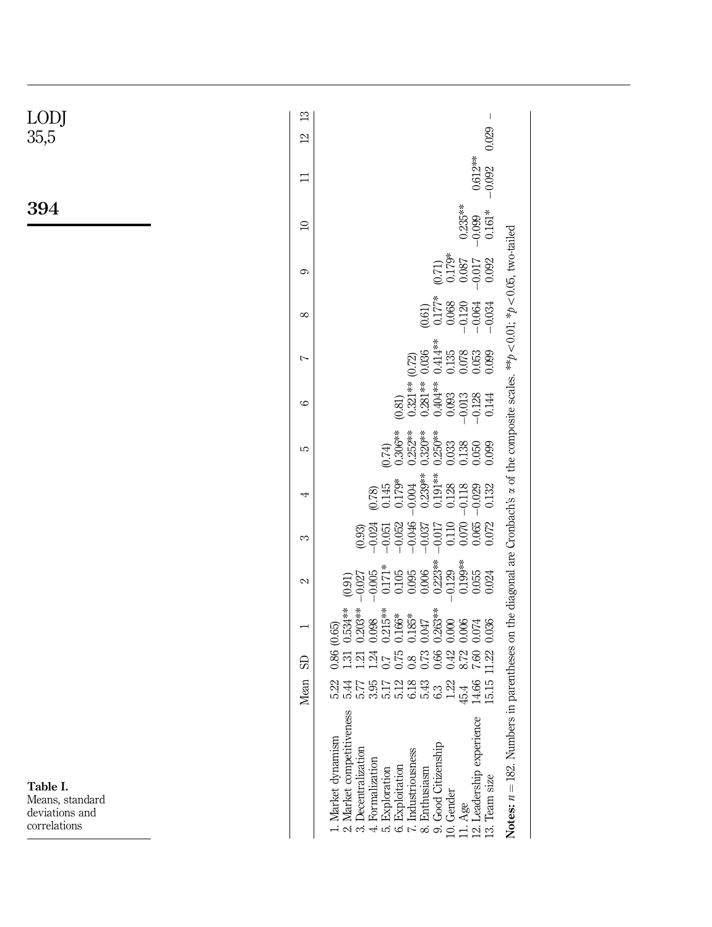| <b>LODJ</b>                                                   | $^{13}$         | $\vert$                                                                                                                                                                                                                                                                                                                                                                                                                                                      |
|---------------------------------------------------------------|-----------------|--------------------------------------------------------------------------------------------------------------------------------------------------------------------------------------------------------------------------------------------------------------------------------------------------------------------------------------------------------------------------------------------------------------------------------------------------------------|
| 35,5                                                          | $\overline{2}$  | 0.029                                                                                                                                                                                                                                                                                                                                                                                                                                                        |
|                                                               | Ξ               | $0.612***$<br>$-0.092$                                                                                                                                                                                                                                                                                                                                                                                                                                       |
| 394                                                           | $\overline{10}$ | $0.235***$<br>$0.161*$<br>$-0.099$                                                                                                                                                                                                                                                                                                                                                                                                                           |
|                                                               | 9               | $\begin{array}{c} (0.71) \\ 0.179^* \end{array}$<br>$0.087$<br>0.092<br>$-0.017$                                                                                                                                                                                                                                                                                                                                                                             |
|                                                               | $^{\circ}$      | $0.177*$<br>0.068<br>$-0.120$<br>$-0.034$<br>$-0.064$<br>(0.61)                                                                                                                                                                                                                                                                                                                                                                                              |
|                                                               | $\overline{ }$  | $0.414**$<br>0.036<br>0.135<br>$\begin{array}{c} 0.078 \\ 0.053 \\ 0.099 \end{array}$<br>(0.72)                                                                                                                                                                                                                                                                                                                                                              |
|                                                               | G               | $0.321**$<br>$0.281***$<br>$0.404**$<br>0.093<br>$-0.013$<br>$-0.128$<br>0.144<br>$(0.81)$                                                                                                                                                                                                                                                                                                                                                                   |
|                                                               | 5               | $0.306***$<br>$0.252***$<br>$0.320***$<br>$0.250***$<br>0.033<br>0.138<br>0.050<br>0.099<br>(0.74)                                                                                                                                                                                                                                                                                                                                                           |
|                                                               | 4               | $0.239**$<br>$0.191**$<br>$0.179*$<br>0.145<br>$-0.004$<br>0.128<br>$-0.118$<br>$-0.029$<br>0.132<br>(0.78)                                                                                                                                                                                                                                                                                                                                                  |
|                                                               | S               | $-0.046$<br>0.065<br>$-0.052$<br>0.110<br>$0.070\,$<br>0.072<br>$-0.024$<br>$-0.037$<br>$-0.017$<br>$-0.051$<br>(0.93)                                                                                                                                                                                                                                                                                                                                       |
|                                                               | 2               | $0.199***$<br>$0.223***$<br>$0.171*$<br>$0.105$<br>0.006<br>0.095<br>0.129<br>$-0.005$<br>0.055<br>$-0.027$<br>0.024<br>(0.91)                                                                                                                                                                                                                                                                                                                               |
|                                                               |                 | $0.534***$<br>$0.203**$<br>$\begin{array}{c} 0.098 \\ 0.215^{***} \end{array}$<br>$0.263**$<br>$0.166*$<br>$0.185*$<br>0.000<br>0.047<br>0.006<br>$0.074\,$<br>0.036<br>(0.65)                                                                                                                                                                                                                                                                               |
|                                                               | SD              | 0.86<br>$0.73\,$<br>0.75<br>0.66<br>0.42<br>8.72<br>7.60<br>11.22<br>1.21<br>$\frac{21}{2}$<br>$\Xi$<br>0.7<br>0.8                                                                                                                                                                                                                                                                                                                                           |
|                                                               | Mean            | 15.15<br>$\frac{5.77}{3.312}$<br>$\frac{5.57}{3.12}$<br>$6.3 \over 1.22$<br>5.43<br>14.66<br>5.44<br>5.22<br>45.4                                                                                                                                                                                                                                                                                                                                            |
| Table I.<br>Means, standard<br>deviations and<br>correlations |                 | Notes: $n = 182$ . Numbers in parentheses on the diagonal are Cronbach's $\alpha$ of the composite scales. ** $p < 0.01$ ; * $p < 0.05$ , two-tailed<br>2. Market competitiveness<br>3. Decentralization<br>12. Leadership experience<br>1. Market dynamism<br>4. Formalization<br>5. Exploration<br>6. Exploitation<br>7. Industriousness<br>8. Enthusiasm<br>9. Good Citizenship<br>9. Good Citizenship<br>10. Gender<br>13. Team size<br>$11. \text{Age}$ |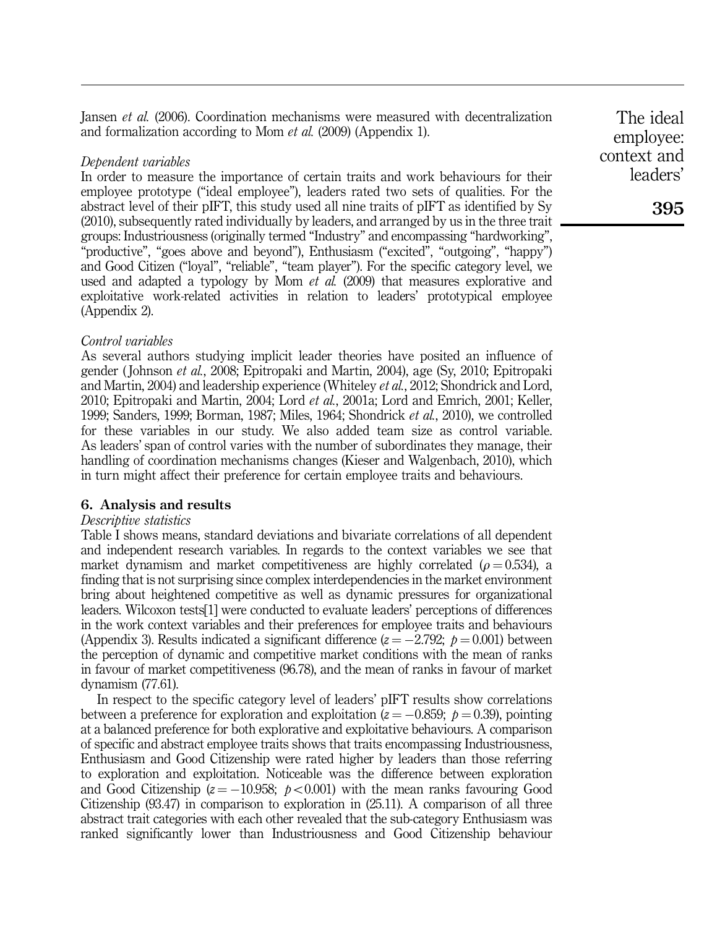Jansen et al. (2006). Coordination mechanisms were measured with decentralization and formalization according to Mom et al. (2009) (Appendix 1).

#### Dependent variables

In order to measure the importance of certain traits and work behaviours for their employee prototype ("ideal employee"), leaders rated two sets of qualities. For the abstract level of their pIFT, this study used all nine traits of pIFT as identified by Sy (2010), subsequently rated individually by leaders, and arranged by us in the three trait groups: Industriousness (originally termed "Industry" and encompassing "hardworking", "productive", "goes above and beyond"), Enthusiasm ("excited", "outgoing", "happy") and Good Citizen ("loyal", "reliable", "team player"). For the specific category level, we used and adapted a typology by Mom et al. (2009) that measures explorative and exploitative work-related activities in relation to leaders' prototypical employee (Appendix 2).

#### Control variables

As several authors studying implicit leader theories have posited an influence of gender ( Johnson et al., 2008; Epitropaki and Martin, 2004), age (Sy, 2010; Epitropaki and Martin, 2004) and leadership experience (Whiteley et al., 2012; Shondrick and Lord, 2010; Epitropaki and Martin, 2004; Lord et al., 2001a; Lord and Emrich, 2001; Keller, 1999; Sanders, 1999; Borman, 1987; Miles, 1964; Shondrick et al., 2010), we controlled for these variables in our study. We also added team size as control variable. As leaders' span of control varies with the number of subordinates they manage, their handling of coordination mechanisms changes (Kieser and Walgenbach, 2010), which in turn might affect their preference for certain employee traits and behaviours.

#### 6. Analysis and results

# Descriptive statistics

Table I shows means, standard deviations and bivariate correlations of all dependent and independent research variables. In regards to the context variables we see that market dynamism and market competitiveness are highly correlated ( $\rho = 0.534$ ), a finding that is not surprising since complex interdependencies in the market environment bring about heightened competitive as well as dynamic pressures for organizational leaders. Wilcoxon tests[1] were conducted to evaluate leaders' perceptions of differences in the work context variables and their preferences for employee traits and behaviours (Appendix 3). Results indicated a significant difference ( $z = -2.792$ ;  $p = 0.001$ ) between the perception of dynamic and competitive market conditions with the mean of ranks in favour of market competitiveness (96.78), and the mean of ranks in favour of market dynamism (77.61).

In respect to the specific category level of leaders' pIFT results show correlations between a preference for exploration and exploitation ( $z = -0.859$ ;  $p = 0.39$ ), pointing at a balanced preference for both explorative and exploitative behaviours. A comparison of specific and abstract employee traits shows that traits encompassing Industriousness, Enthusiasm and Good Citizenship were rated higher by leaders than those referring to exploration and exploitation. Noticeable was the difference between exploration and Good Citizenship ( $z = -10.958$ ;  $p < 0.001$ ) with the mean ranks favouring Good Citizenship (93.47) in comparison to exploration in (25.11). A comparison of all three abstract trait categories with each other revealed that the sub-category Enthusiasm was ranked significantly lower than Industriousness and Good Citizenship behaviour

The ideal employee: context and leaders'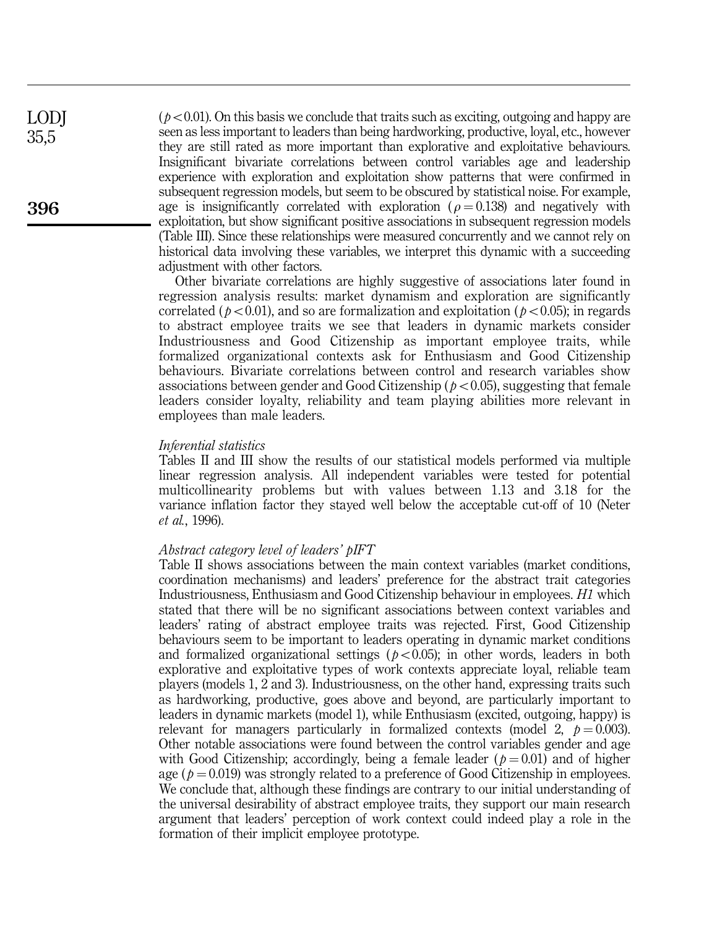$(p<0.01)$ . On this basis we conclude that traits such as exciting, outgoing and happy are seen as less important to leaders than being hardworking, productive, loyal, etc., however they are still rated as more important than explorative and exploitative behaviours. Insignificant bivariate correlations between control variables age and leadership experience with exploration and exploitation show patterns that were confirmed in subsequent regression models, but seem to be obscured by statistical noise. For example, age is insignificantly correlated with exploration ( $\rho = 0.138$ ) and negatively with exploitation, but show significant positive associations in subsequent regression models (Table III). Since these relationships were measured concurrently and we cannot rely on historical data involving these variables, we interpret this dynamic with a succeeding adjustment with other factors.

Other bivariate correlations are highly suggestive of associations later found in regression analysis results: market dynamism and exploration are significantly correlated ( $p < 0.01$ ), and so are formalization and exploitation ( $p < 0.05$ ); in regards to abstract employee traits we see that leaders in dynamic markets consider Industriousness and Good Citizenship as important employee traits, while formalized organizational contexts ask for Enthusiasm and Good Citizenship behaviours. Bivariate correlations between control and research variables show associations between gender and Good Citizenship ( $p < 0.05$ ), suggesting that female leaders consider loyalty, reliability and team playing abilities more relevant in employees than male leaders.

#### Inferential statistics

Tables II and III show the results of our statistical models performed via multiple linear regression analysis. All independent variables were tested for potential multicollinearity problems but with values between 1.13 and 3.18 for the variance inflation factor they stayed well below the acceptable cut-off of 10 (Neter et al., 1996).

#### Abstract category level of leaders' pIFT

Table II shows associations between the main context variables (market conditions, coordination mechanisms) and leaders' preference for the abstract trait categories Industriousness, Enthusiasm and Good Citizenship behaviour in employees. H1 which stated that there will be no significant associations between context variables and leaders' rating of abstract employee traits was rejected. First, Good Citizenship behaviours seem to be important to leaders operating in dynamic market conditions and formalized organizational settings ( $b < 0.05$ ); in other words, leaders in both explorative and exploitative types of work contexts appreciate loyal, reliable team players (models 1, 2 and 3). Industriousness, on the other hand, expressing traits such as hardworking, productive, goes above and beyond, are particularly important to leaders in dynamic markets (model 1), while Enthusiasm (excited, outgoing, happy) is relevant for managers particularly in formalized contexts (model 2,  $p = 0.003$ ). Other notable associations were found between the control variables gender and age with Good Citizenship; accordingly, being a female leader ( $p = 0.01$ ) and of higher age ( $p = 0.019$ ) was strongly related to a preference of Good Citizenship in employees. We conclude that, although these findings are contrary to our initial understanding of the universal desirability of abstract employee traits, they support our main research argument that leaders' perception of work context could indeed play a role in the formation of their implicit employee prototype.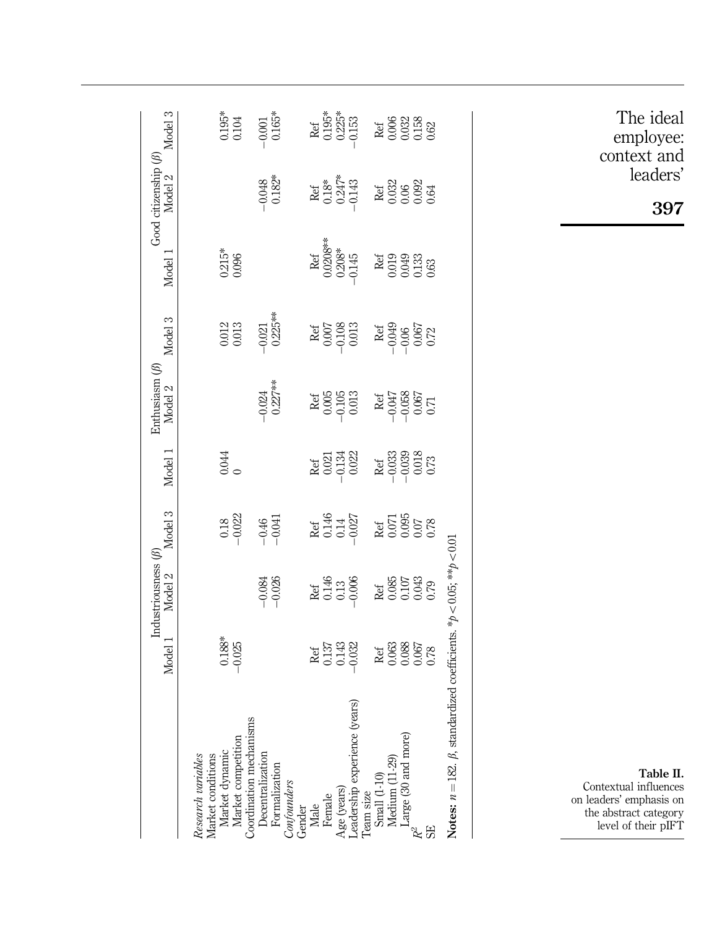|                                                                                             | Model                                                                         | Industriousness $(\beta)$<br>Model 2 | Model 3                                                                        | Model 1                                                              | Enthusiasm (B)<br>Model <sub>2</sub>                                                               | Model <sub>3</sub>                            | Model                                        | Good citizenship $(\beta)$ Model 2                         | Model <sub>3</sub>                                  |
|---------------------------------------------------------------------------------------------|-------------------------------------------------------------------------------|--------------------------------------|--------------------------------------------------------------------------------|----------------------------------------------------------------------|----------------------------------------------------------------------------------------------------|-----------------------------------------------|----------------------------------------------|------------------------------------------------------------|-----------------------------------------------------|
| Market conditions<br>Market dynamic<br>Market competition<br>Research variables             | $-0.188$ *<br>$-0.025$                                                        |                                      | $-0.18$<br>$-0.022$                                                            | 0.044                                                                |                                                                                                    | $\begin{array}{c} 0.012 \\ 0.013 \end{array}$ | $0.215*$<br>0.096                            |                                                            | $0.195*$<br>$0.104$                                 |
| Coordination mechanisms<br>Decentralization<br>Formalization<br><i>Confounders</i>          |                                                                               | $-0.084$<br>$-0.026$                 | $-0.46$<br>-0.041                                                              |                                                                      | $-0.024$<br>0.227**                                                                                | $-0.021$<br>0.225**                           |                                              | $-0.048$<br>0.182*                                         | $-0.001$<br>$0.165*$                                |
| ${\rm Age}$ (years) $$\tt Local$ (years) $$\tt Local$<br>Cender<br>Male<br>Female<br>Female | $R$<br>$\frac{137}{0.143}$<br>$\frac{0.137}{0.032}$                           | Ref<br>0.146<br>0.13<br>0.006        | $Ref$ 0.146<br>0.146<br>0.027                                                  | $\begin{array}{c} \text{Ref} \\ 0.021 \\ 0.134 \\ 0.022 \end{array}$ | $-0.005$<br>$-0.105$<br>0.013<br>Ref                                                               | $-0.007$<br>0.108<br>0.013<br>Ref             | $\frac{0.0208***}{0.208*}$<br>-0.208*<br>Ref | $R$ ef<br>0.18 <sup>*</sup><br>0.247 <sup>*</sup><br>0.143 | $R$ ef<br>0.195*<br>0.225*<br>0.153                 |
| Team size<br>Small $(1-10)$<br>Medium $(11-29)$<br>Large (30 and more)<br>$R^2$<br>SE       | $\begin{array}{l} \text{Ref} \\ 0.063 \\ 0.088 \\ 0.067 \\ 0.078 \end{array}$ | Ref<br>0.085<br>0.043<br>0.79        | $\begin{array}{l} \text{Ref} \\ 0.071 \\ 0.095 \\ 0.07 \\ 0.07 \\ \end{array}$ | $R_{0.033}^{t}$<br>$-0.033$<br>$-0.018$<br>0.73                      | $\begin{array}{c} \text{Ref} \\ \text{10047} \\ 0.058 \\ 0.067 \\ 0.067 \\ \text{190} \end{array}$ | Ref<br>0.049<br>0.067<br>0.72                 | Ref<br>0.019<br>0.049<br>0.03                | $R$ ef<br>$0.032$<br>$0.06$<br>$0.092$<br>$0.64$           | $R_{c}$<br>$0.006$<br>$0.032$<br>$0.032$<br>$0.032$ |
| Notes: $n = 182$ . $\beta$ , standardized coefficients. * $p < 0.05$ ; ** $p < 0.01$        |                                                                               |                                      |                                                                                |                                                                      |                                                                                                    |                                               |                                              |                                                            |                                                     |
|                                                                                             |                                                                               |                                      |                                                                                |                                                                      |                                                                                                    |                                               |                                              |                                                            |                                                     |
| Cc<br>on le<br>th                                                                           |                                                                               |                                      |                                                                                |                                                                      |                                                                                                    |                                               |                                              |                                                            |                                                     |

The ideal employee: context and leaders'

397

Table II. ontextual influences eaders' emphasis on the abstract category level of their pIFT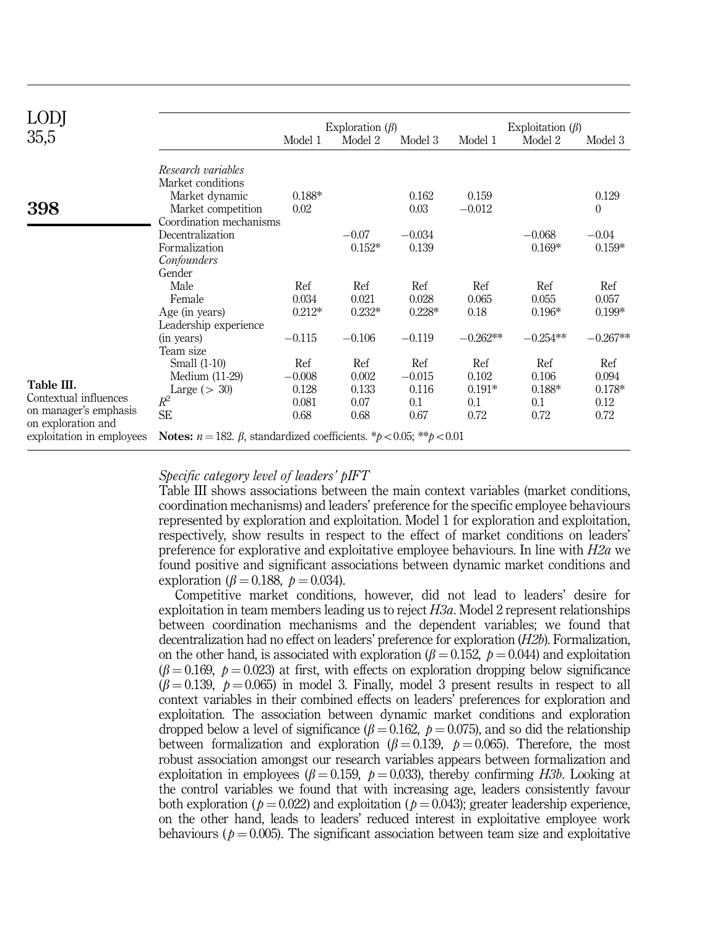| <b>LOD</b>                                                                                                      |                                                                                                                                                                                  |                                           | Exploration $(\beta)$                 |                                         | Exploitation $(\beta)$                  |                                         |                                          |  |
|-----------------------------------------------------------------------------------------------------------------|----------------------------------------------------------------------------------------------------------------------------------------------------------------------------------|-------------------------------------------|---------------------------------------|-----------------------------------------|-----------------------------------------|-----------------------------------------|------------------------------------------|--|
| 35,5                                                                                                            |                                                                                                                                                                                  | Model 1                                   | Model 2                               | Model 3                                 | Model 1                                 | Model 2                                 | Model 3                                  |  |
|                                                                                                                 | Research variables                                                                                                                                                               |                                           |                                       |                                         |                                         |                                         |                                          |  |
| 398                                                                                                             | Market conditions<br>Market dynamic<br>Market competition<br>Coordination mechanisms                                                                                             | $0.188*$<br>0.02                          |                                       | 0.162<br>0.03                           | 0.159<br>$-0.012$                       |                                         | 0.129<br>0                               |  |
|                                                                                                                 | Decentralization<br>Formalization<br>Confounders<br>Gender                                                                                                                       |                                           | $-0.07$<br>$0.152*$                   | $-0.034$<br>0.139                       |                                         | $-0.068$<br>$0.169*$                    | $-0.04$<br>$0.159*$                      |  |
|                                                                                                                 | Male<br>Female<br>Age (in years)                                                                                                                                                 | Ref<br>0.034<br>$0.212*$                  | Ref<br>0.021<br>$0.232*$              | Ref<br>0.028<br>$0.228*$                | Ref<br>0.065<br>0.18                    | Ref<br>0.055<br>$0.196*$                | Ref<br>0.057<br>$0.199*$                 |  |
|                                                                                                                 | Leadership experience<br>(in years)<br>Team size                                                                                                                                 | $-0.115$                                  | $-0.106$                              | $-0.119$                                | $-0.262**$                              | $-0.254**$                              | $-0.267**$                               |  |
| Table III.<br>Contextual influences<br>on manager's emphasis<br>on exploration and<br>exploitation in employees | Small $(1-10)$<br>Medium (11-29)<br>Large $(> 30)$<br>$\mathbb{R}^2$<br><b>SE</b><br><b>Notes:</b> $n = 182$ . $\beta$ , standardized coefficients. * $p < 0.05$ ; ** $p < 0.01$ | Ref<br>$-0.008$<br>0.128<br>0.081<br>0.68 | Ref<br>0.002<br>0.133<br>0.07<br>0.68 | Ref<br>$-0.015$<br>0.116<br>0.1<br>0.67 | Ref<br>0.102<br>$0.191*$<br>0.1<br>0.72 | Ref<br>0.106<br>$0.188*$<br>0.1<br>0.72 | Ref<br>0.094<br>$0.178*$<br>0.12<br>0.72 |  |

# Specific category level of leaders' pIFT

Table III shows associations between the main context variables (market conditions, coordination mechanisms) and leaders' preference for the specific employee behaviours represented by exploration and exploitation. Model 1 for exploration and exploitation, respectively, show results in respect to the effect of market conditions on leaders' preference for explorative and exploitative employee behaviours. In line with H2a we found positive and significant associations between dynamic market conditions and exploration ( $\beta = 0.188$ ,  $p = 0.034$ ).

Competitive market conditions, however, did not lead to leaders' desire for exploitation in team members leading us to reject  $H3a$ . Model 2 represent relationships between coordination mechanisms and the dependent variables; we found that decentralization had no effect on leaders' preference for exploration (H2b). Formalization, on the other hand, is associated with exploration ( $\beta = 0.152$ ,  $p = 0.044$ ) and exploitation  $(\beta = 0.169, p = 0.023)$  at first, with effects on exploration dropping below significance  $(\beta = 0.139, p = 0.065)$  in model 3. Finally, model 3 present results in respect to all context variables in their combined effects on leaders' preferences for exploration and exploitation. The association between dynamic market conditions and exploration dropped below a level of significance ( $\beta = 0.162$ ,  $p = 0.075$ ), and so did the relationship between formalization and exploration ( $\beta = 0.139$ ,  $p = 0.065$ ). Therefore, the most robust association amongst our research variables appears between formalization and exploitation in employees ( $\beta = 0.159$ ,  $p = 0.033$ ), thereby confirming H3b. Looking at the control variables we found that with increasing age, leaders consistently favour both exploration ( $p = 0.022$ ) and exploitation ( $p = 0.043$ ); greater leadership experience, on the other hand, leads to leaders' reduced interest in exploitative employee work behaviours ( $p = 0.005$ ). The significant association between team size and exploitative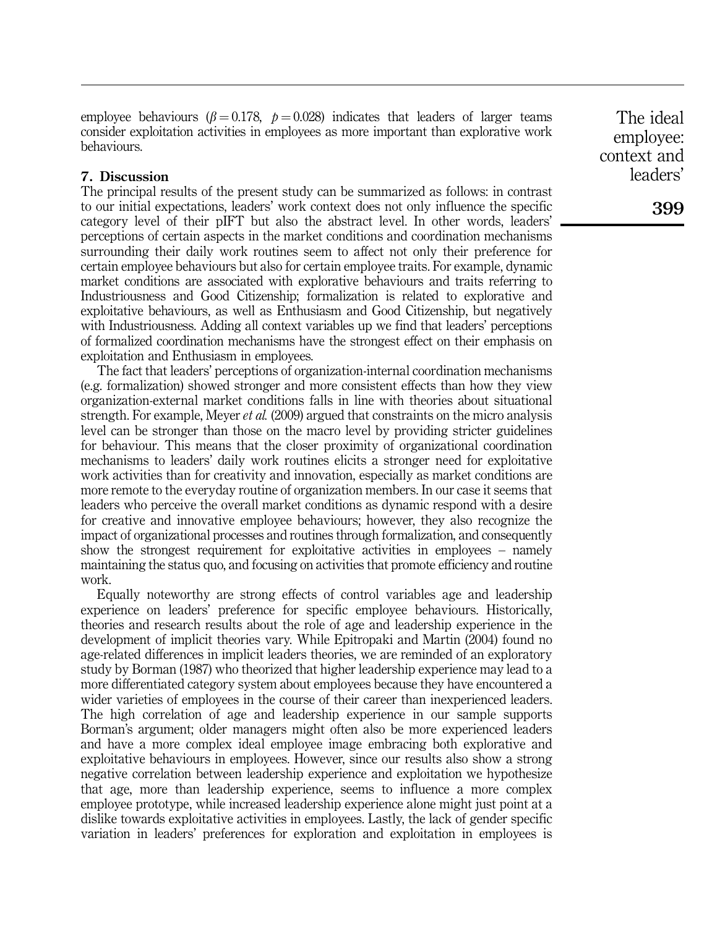employee behaviours ( $\beta = 0.178$ ,  $p = 0.028$ ) indicates that leaders of larger teams consider exploitation activities in employees as more important than explorative work behaviours.

# 7. Discussion

The principal results of the present study can be summarized as follows: in contrast to our initial expectations, leaders' work context does not only influence the specific category level of their pIFT but also the abstract level. In other words, leaders' perceptions of certain aspects in the market conditions and coordination mechanisms surrounding their daily work routines seem to affect not only their preference for certain employee behaviours but also for certain employee traits. For example, dynamic market conditions are associated with explorative behaviours and traits referring to Industriousness and Good Citizenship; formalization is related to explorative and exploitative behaviours, as well as Enthusiasm and Good Citizenship, but negatively with Industriousness. Adding all context variables up we find that leaders' perceptions of formalized coordination mechanisms have the strongest effect on their emphasis on exploitation and Enthusiasm in employees.

The fact that leaders' perceptions of organization-internal coordination mechanisms (e.g. formalization) showed stronger and more consistent effects than how they view organization-external market conditions falls in line with theories about situational strength. For example, Meyer *et al.* (2009) argued that constraints on the micro analysis level can be stronger than those on the macro level by providing stricter guidelines for behaviour. This means that the closer proximity of organizational coordination mechanisms to leaders' daily work routines elicits a stronger need for exploitative work activities than for creativity and innovation, especially as market conditions are more remote to the everyday routine of organization members. In our case it seems that leaders who perceive the overall market conditions as dynamic respond with a desire for creative and innovative employee behaviours; however, they also recognize the impact of organizational processes and routines through formalization, and consequently show the strongest requirement for exploitative activities in employees – namely maintaining the status quo, and focusing on activities that promote efficiency and routine work.

Equally noteworthy are strong effects of control variables age and leadership experience on leaders' preference for specific employee behaviours. Historically, theories and research results about the role of age and leadership experience in the development of implicit theories vary. While Epitropaki and Martin (2004) found no age-related differences in implicit leaders theories, we are reminded of an exploratory study by Borman (1987) who theorized that higher leadership experience may lead to a more differentiated category system about employees because they have encountered a wider varieties of employees in the course of their career than inexperienced leaders. The high correlation of age and leadership experience in our sample supports Borman's argument; older managers might often also be more experienced leaders and have a more complex ideal employee image embracing both explorative and exploitative behaviours in employees. However, since our results also show a strong negative correlation between leadership experience and exploitation we hypothesize that age, more than leadership experience, seems to influence a more complex employee prototype, while increased leadership experience alone might just point at a dislike towards exploitative activities in employees. Lastly, the lack of gender specific variation in leaders' preferences for exploration and exploitation in employees is

The ideal employee: context and leaders'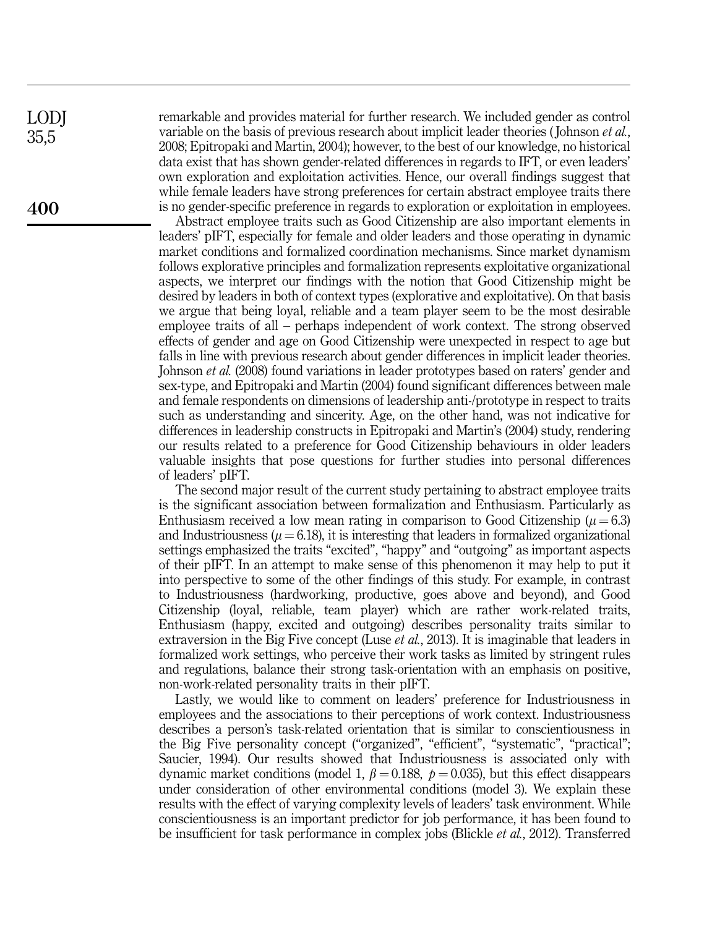remarkable and provides material for further research. We included gender as control variable on the basis of previous research about implicit leader theories (Johnson *et al.*, 2008; Epitropaki and Martin, 2004); however, to the best of our knowledge, no historical data exist that has shown gender-related differences in regards to IFT, or even leaders' own exploration and exploitation activities. Hence, our overall findings suggest that while female leaders have strong preferences for certain abstract employee traits there is no gender-specific preference in regards to exploration or exploitation in employees.

Abstract employee traits such as Good Citizenship are also important elements in leaders' pIFT, especially for female and older leaders and those operating in dynamic market conditions and formalized coordination mechanisms. Since market dynamism follows explorative principles and formalization represents exploitative organizational aspects, we interpret our findings with the notion that Good Citizenship might be desired by leaders in both of context types (explorative and exploitative). On that basis we argue that being loyal, reliable and a team player seem to be the most desirable employee traits of all – perhaps independent of work context. The strong observed effects of gender and age on Good Citizenship were unexpected in respect to age but falls in line with previous research about gender differences in implicit leader theories. Johnson et al. (2008) found variations in leader prototypes based on raters' gender and sex-type, and Epitropaki and Martin (2004) found significant differences between male and female respondents on dimensions of leadership anti-/prototype in respect to traits such as understanding and sincerity. Age, on the other hand, was not indicative for differences in leadership constructs in Epitropaki and Martin's (2004) study, rendering our results related to a preference for Good Citizenship behaviours in older leaders valuable insights that pose questions for further studies into personal differences of leaders' pIFT.

The second major result of the current study pertaining to abstract employee traits is the significant association between formalization and Enthusiasm. Particularly as Enthusiasm received a low mean rating in comparison to Good Citizenship ( $\mu$  = 6.3) and Industriousness ( $\mu$  = 6.18), it is interesting that leaders in formalized organizational settings emphasized the traits "excited", "happy" and "outgoing" as important aspects of their pIFT. In an attempt to make sense of this phenomenon it may help to put it into perspective to some of the other findings of this study. For example, in contrast to Industriousness (hardworking, productive, goes above and beyond), and Good Citizenship (loyal, reliable, team player) which are rather work-related traits, Enthusiasm (happy, excited and outgoing) describes personality traits similar to extraversion in the Big Five concept (Luse *et al.*, 2013). It is imaginable that leaders in formalized work settings, who perceive their work tasks as limited by stringent rules and regulations, balance their strong task-orientation with an emphasis on positive, non-work-related personality traits in their pIFT.

Lastly, we would like to comment on leaders' preference for Industriousness in employees and the associations to their perceptions of work context. Industriousness describes a person's task-related orientation that is similar to conscientiousness in the Big Five personality concept ("organized", "efficient", "systematic", "practical"; Saucier, 1994). Our results showed that Industriousness is associated only with dynamic market conditions (model 1,  $\beta = 0.188$ ,  $\rho = 0.035$ ), but this effect disappears under consideration of other environmental conditions (model 3). We explain these results with the effect of varying complexity levels of leaders' task environment. While conscientiousness is an important predictor for job performance, it has been found to be insufficient for task performance in complex jobs (Blickle et al., 2012). Transferred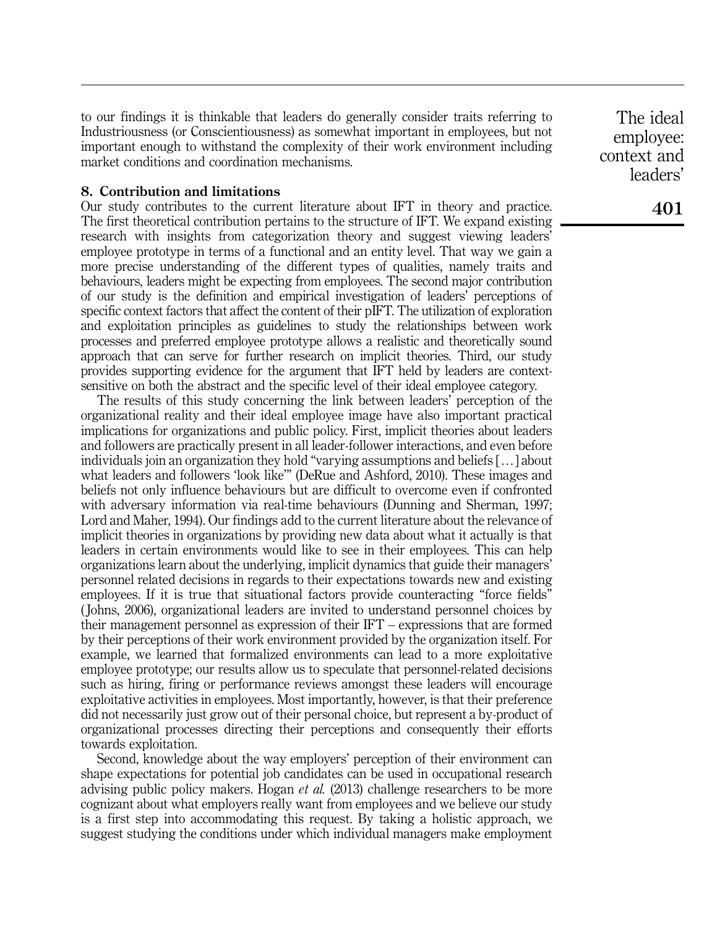to our findings it is thinkable that leaders do generally consider traits referring to Industriousness (or Conscientiousness) as somewhat important in employees, but not important enough to withstand the complexity of their work environment including market conditions and coordination mechanisms.

# 8. Contribution and limitations

Our study contributes to the current literature about IFT in theory and practice. The first theoretical contribution pertains to the structure of IFT. We expand existing research with insights from categorization theory and suggest viewing leaders' employee prototype in terms of a functional and an entity level. That way we gain a more precise understanding of the different types of qualities, namely traits and behaviours, leaders might be expecting from employees. The second major contribution of our study is the definition and empirical investigation of leaders' perceptions of specific context factors that affect the content of their pIFT. The utilization of exploration and exploitation principles as guidelines to study the relationships between work processes and preferred employee prototype allows a realistic and theoretically sound approach that can serve for further research on implicit theories. Third, our study provides supporting evidence for the argument that IFT held by leaders are contextsensitive on both the abstract and the specific level of their ideal employee category.

The results of this study concerning the link between leaders' perception of the organizational reality and their ideal employee image have also important practical implications for organizations and public policy. First, implicit theories about leaders and followers are practically present in all leader-follower interactions, and even before individuals join an organization they hold "varying assumptions and beliefs [...] about what leaders and followers 'look like'" (DeRue and Ashford, 2010). These images and beliefs not only influence behaviours but are difficult to overcome even if confronted with adversary information via real-time behaviours (Dunning and Sherman, 1997; Lord and Maher, 1994). Our findings add to the current literature about the relevance of implicit theories in organizations by providing new data about what it actually is that leaders in certain environments would like to see in their employees. This can help organizations learn about the underlying, implicit dynamics that guide their managers' personnel related decisions in regards to their expectations towards new and existing employees. If it is true that situational factors provide counteracting "force fields" ( Johns, 2006), organizational leaders are invited to understand personnel choices by their management personnel as expression of their IFT – expressions that are formed by their perceptions of their work environment provided by the organization itself. For example, we learned that formalized environments can lead to a more exploitative employee prototype; our results allow us to speculate that personnel-related decisions such as hiring, firing or performance reviews amongst these leaders will encourage exploitative activities in employees. Most importantly, however, is that their preference did not necessarily just grow out of their personal choice, but represent a by-product of organizational processes directing their perceptions and consequently their efforts towards exploitation.

Second, knowledge about the way employers' perception of their environment can shape expectations for potential job candidates can be used in occupational research advising public policy makers. Hogan *et al.* (2013) challenge researchers to be more cognizant about what employers really want from employees and we believe our study is a first step into accommodating this request. By taking a holistic approach, we suggest studying the conditions under which individual managers make employment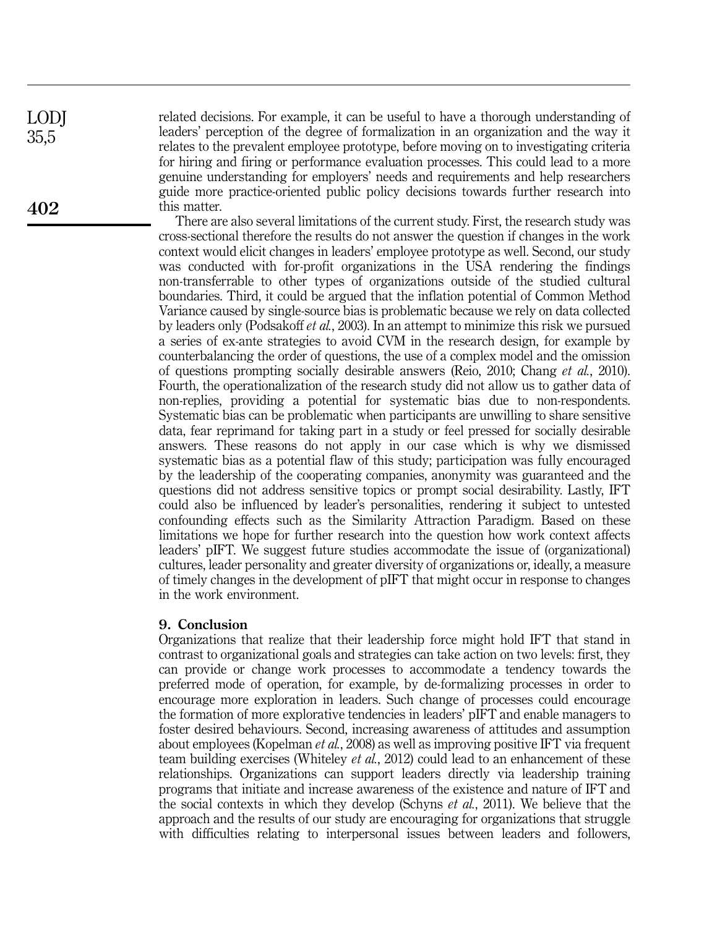related decisions. For example, it can be useful to have a thorough understanding of leaders' perception of the degree of formalization in an organization and the way it relates to the prevalent employee prototype, before moving on to investigating criteria for hiring and firing or performance evaluation processes. This could lead to a more genuine understanding for employers' needs and requirements and help researchers guide more practice-oriented public policy decisions towards further research into this matter.

There are also several limitations of the current study. First, the research study was cross-sectional therefore the results do not answer the question if changes in the work context would elicit changes in leaders' employee prototype as well. Second, our study was conducted with for-profit organizations in the USA rendering the findings non-transferrable to other types of organizations outside of the studied cultural boundaries. Third, it could be argued that the inflation potential of Common Method Variance caused by single-source bias is problematic because we rely on data collected by leaders only (Podsakoff et al., 2003). In an attempt to minimize this risk we pursued a series of ex-ante strategies to avoid CVM in the research design, for example by counterbalancing the order of questions, the use of a complex model and the omission of questions prompting socially desirable answers (Reio, 2010; Chang et al., 2010). Fourth, the operationalization of the research study did not allow us to gather data of non-replies, providing a potential for systematic bias due to non-respondents. Systematic bias can be problematic when participants are unwilling to share sensitive data, fear reprimand for taking part in a study or feel pressed for socially desirable answers. These reasons do not apply in our case which is why we dismissed systematic bias as a potential flaw of this study; participation was fully encouraged by the leadership of the cooperating companies, anonymity was guaranteed and the questions did not address sensitive topics or prompt social desirability. Lastly, IFT could also be influenced by leader's personalities, rendering it subject to untested confounding effects such as the Similarity Attraction Paradigm. Based on these limitations we hope for further research into the question how work context affects leaders' pIFT. We suggest future studies accommodate the issue of (organizational) cultures, leader personality and greater diversity of organizations or, ideally, a measure of timely changes in the development of pIFT that might occur in response to changes in the work environment.

#### 9. Conclusion

Organizations that realize that their leadership force might hold IFT that stand in contrast to organizational goals and strategies can take action on two levels: first, they can provide or change work processes to accommodate a tendency towards the preferred mode of operation, for example, by de-formalizing processes in order to encourage more exploration in leaders. Such change of processes could encourage the formation of more explorative tendencies in leaders' pIFT and enable managers to foster desired behaviours. Second, increasing awareness of attitudes and assumption about employees (Kopelman et al., 2008) as well as improving positive IFT via frequent team building exercises (Whiteley *et al.*, 2012) could lead to an enhancement of these relationships. Organizations can support leaders directly via leadership training programs that initiate and increase awareness of the existence and nature of IFT and the social contexts in which they develop (Schyns et al., 2011). We believe that the approach and the results of our study are encouraging for organizations that struggle with difficulties relating to interpersonal issues between leaders and followers,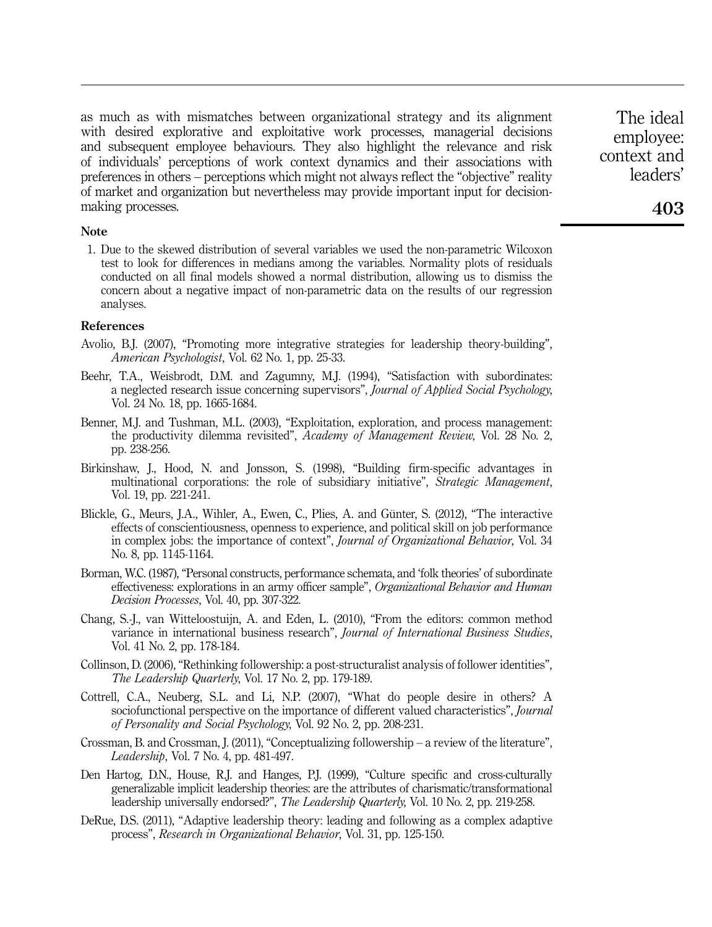as much as with mismatches between organizational strategy and its alignment with desired explorative and exploitative work processes, managerial decisions and subsequent employee behaviours. They also highlight the relevance and risk of individuals' perceptions of work context dynamics and their associations with preferences in others – perceptions which might not always reflect the "objective" reality of market and organization but nevertheless may provide important input for decisionmaking processes.

#### Note

1. Due to the skewed distribution of several variables we used the non-parametric Wilcoxon test to look for differences in medians among the variables. Normality plots of residuals conducted on all final models showed a normal distribution, allowing us to dismiss the concern about a negative impact of non-parametric data on the results of our regression analyses.

#### References

- Avolio, B.J. (2007), "Promoting more integrative strategies for leadership theory-building", American Psychologist, Vol. 62 No. 1, pp. 25-33.
- Beehr, T.A., Weisbrodt, D.M. and Zagumny, M.J. (1994), "Satisfaction with subordinates: a neglected research issue concerning supervisors", Journal of Applied Social Psychology, Vol. 24 No. 18, pp. 1665-1684.
- Benner, M.J. and Tushman, M.L. (2003), "Exploitation, exploration, and process management: the productivity dilemma revisited", Academy of Management Review, Vol. 28 No. 2, pp. 238-256.
- Birkinshaw, J., Hood, N. and Jonsson, S. (1998), "Building firm-specific advantages in multinational corporations: the role of subsidiary initiative", Strategic Management, Vol. 19, pp. 221-241.
- Blickle, G., Meurs, J.A., Wihler, A., Ewen, C., Plies, A. and Günter, S. (2012), "The interactive effects of conscientiousness, openness to experience, and political skill on job performance in complex jobs: the importance of context", *Journal of Organizational Behavior*, Vol. 34 No. 8, pp. 1145-1164.
- Borman, W.C. (1987), "Personal constructs, performance schemata, and 'folk theories' of subordinate effectiveness: explorations in an army officer sample", Organizational Behavior and Human Decision Processes, Vol. 40, pp. 307-322.
- Chang, S.-J., van Witteloostuijn, A. and Eden, L. (2010), "From the editors: common method variance in international business research", Journal of International Business Studies, Vol. 41 No. 2, pp. 178-184.
- Collinson, D. (2006), "Rethinking followership: a post-structuralist analysis of follower identities", The Leadership Quarterly, Vol. 17 No. 2, pp. 179-189.
- Cottrell, C.A., Neuberg, S.L. and Li, N.P. (2007), "What do people desire in others? A sociofunctional perspective on the importance of different valued characteristics", *Journal* of Personality and Social Psychology, Vol. 92 No. 2, pp. 208-231.
- Crossman, B. and Crossman, J. (2011), "Conceptualizing followership a review of the literature", Leadership, Vol. 7 No. 4, pp. 481-497.
- Den Hartog, D.N., House, R.J. and Hanges, P.J. (1999), "Culture specific and cross-culturally generalizable implicit leadership theories: are the attributes of charismatic/transformational leadership universally endorsed?", *The Leadership Quarterly*, Vol. 10 No. 2, pp. 219-258.
- DeRue, D.S. (2011), "Adaptive leadership theory: leading and following as a complex adaptive process", Research in Organizational Behavior, Vol. 31, pp. 125-150.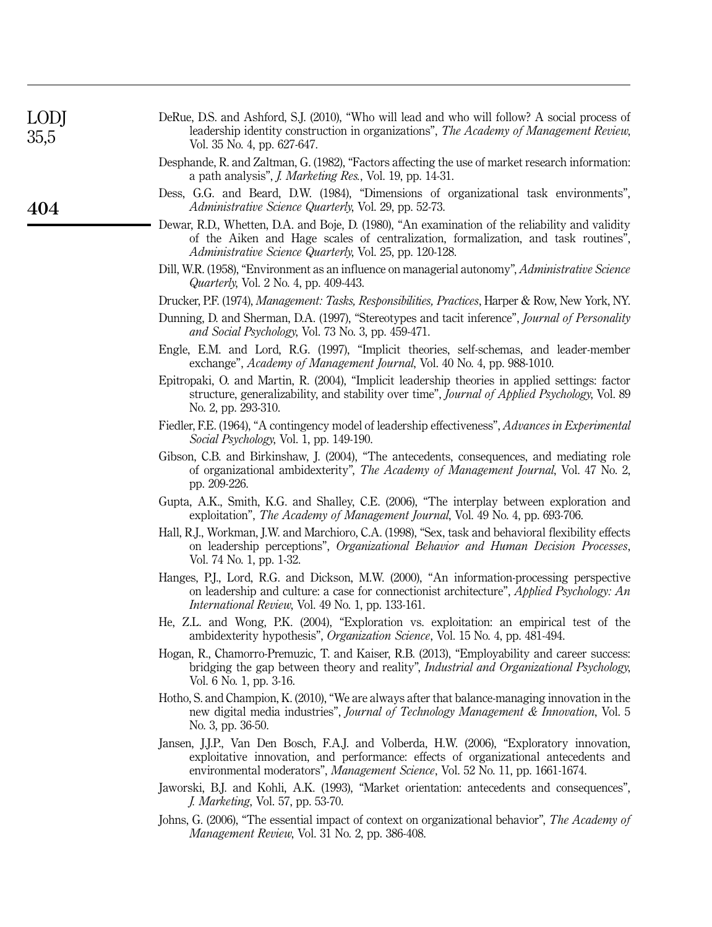| <b>LODI</b><br>35,5 | DeRue, D.S. and Ashford, S.J. (2010), "Who will lead and who will follow? A social process of<br>leadership identity construction in organizations", The Academy of Management Review,<br>Vol. 35 No. 4, pp. 627-647.                                                     |
|---------------------|---------------------------------------------------------------------------------------------------------------------------------------------------------------------------------------------------------------------------------------------------------------------------|
|                     | Desphande, R. and Zaltman, G. (1982), "Factors affecting the use of market research information:<br>a path analysis", <i>J. Marketing Res.</i> , Vol. 19, pp. 14-31.                                                                                                      |
| 404                 | Dess, G.G. and Beard, D.W. (1984), "Dimensions of organizational task environments",<br>Administrative Science Quarterly, Vol. 29, pp. 52-73.                                                                                                                             |
|                     | Dewar, R.D., Whetten, D.A. and Boje, D. (1980), "An examination of the reliability and validity<br>of the Aiken and Hage scales of centralization, formalization, and task routines",<br>Administrative Science Quarterly, Vol. 25, pp. 120-128.                          |
|                     | Dill, W.R. (1958), "Environment as an influence on managerial autonomy", Administrative Science<br><i>Quarterly</i> , Vol. 2 No. 4, pp. 409-443.                                                                                                                          |
|                     | Drucker, P.F. (1974), Management: Tasks, Responsibilities, Practices, Harper & Row, New York, NY.                                                                                                                                                                         |
|                     | Dunning, D. and Sherman, D.A. (1997), "Stereotypes and tacit inference", Journal of Personality<br>and Social Psychology, Vol. 73 No. 3, pp. 459-471.                                                                                                                     |
|                     | Engle, E.M. and Lord, R.G. (1997), "Implicit theories, self-schemas, and leader-member<br>exchange", Academy of Management Journal, Vol. 40 No. 4, pp. 988-1010.                                                                                                          |
|                     | Epitropaki, O. and Martin, R. (2004), "Implicit leadership theories in applied settings: factor<br>structure, generalizability, and stability over time", Journal of Applied Psychology, Vol. 89<br>No. 2, pp. 293-310.                                                   |
|                     | Fiedler, F.E. (1964), "A contingency model of leadership effectiveness", Advances in Experimental<br>Social Psychology, Vol. 1, pp. 149-190.                                                                                                                              |
|                     | Gibson, C.B. and Birkinshaw, J. (2004), "The antecedents, consequences, and mediating role<br>of organizational ambidexterity", The Academy of Management Journal, Vol. 47 No. 2,<br>pp. 209-226.                                                                         |
|                     | Gupta, A.K., Smith, K.G. and Shalley, C.E. (2006), "The interplay between exploration and<br>exploitation", <i>The Academy of Management Journal</i> , Vol. 49 No. 4, pp. 693-706.                                                                                        |
|                     | Hall, R.J., Workman, J.W. and Marchioro, C.A. (1998), "Sex, task and behavioral flexibility effects<br>on leadership perceptions", Organizational Behavior and Human Decision Processes,<br>Vol. 74 No. 1, pp. 1-32.                                                      |
|                     | Hanges, P.J., Lord, R.G. and Dickson, M.W. (2000), "An information-processing perspective<br>on leadership and culture: a case for connectionist architecture", Applied Psychology: An<br><i>International Review, Vol. 49 No. 1, pp. 133-161.</i>                        |
|                     | He, Z.L. and Wong, P.K. (2004), "Exploration vs. exploitation: an empirical test of the<br>ambidexterity hypothesis", Organization Science, Vol. 15 No. 4, pp. 481-494.                                                                                                   |
|                     | Hogan, R., Chamorro-Premuzic, T. and Kaiser, R.B. (2013), "Employability and career success:<br>bridging the gap between theory and reality", Industrial and Organizational Psychology,<br>Vol. 6 No. 1, pp. 3-16.                                                        |
|                     | Hotho, S. and Champion, K. (2010), "We are always after that balance-managing innovation in the<br>new digital media industries", Journal of Technology Management & Innovation, Vol. 5<br>No. 3, pp. 36-50.                                                              |
|                     | Jansen, J.J.P., Van Den Bosch, F.A.J. and Volberda, H.W. (2006), "Exploratory innovation,<br>exploitative innovation, and performance: effects of organizational antecedents and<br>environmental moderators", <i>Management Science</i> , Vol. 52 No. 11, pp. 1661-1674. |
|                     | Jaworski, B.J. and Kohli, A.K. (1993), "Market orientation: antecedents and consequences",<br><i>J. Marketing</i> , Vol. 57, pp. 53-70.                                                                                                                                   |
|                     | Johns, G. (2006), "The essential impact of context on organizational behavior", The Academy of<br>Management Review, Vol. 31 No. 2, pp. 386-408.                                                                                                                          |
|                     |                                                                                                                                                                                                                                                                           |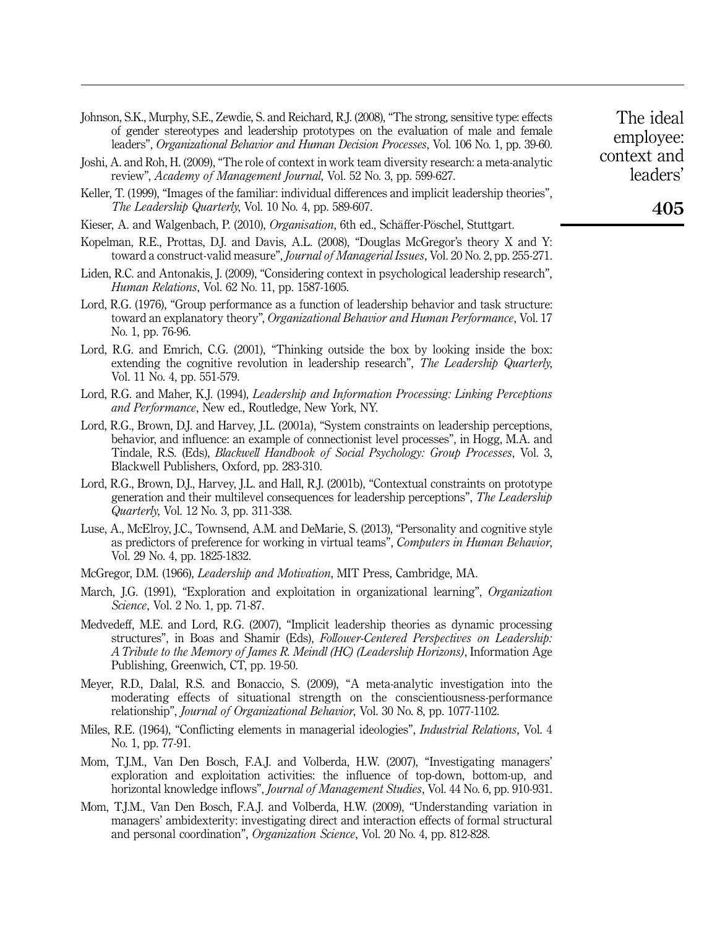- Johnson, S.K., Murphy, S.E., Zewdie, S. and Reichard, R.J. (2008), "The strong, sensitive type: effects of gender stereotypes and leadership prototypes on the evaluation of male and female leaders", Organizational Behavior and Human Decision Processes, Vol. 106 No. 1, pp. 39-60.
- Joshi, A. and Roh, H. (2009), "The role of context in work team diversity research: a meta-analytic review", Academy of Management Journal, Vol. 52 No. 3, pp. 599-627.
- Keller, T. (1999), "Images of the familiar: individual differences and implicit leadership theories", The Leadership Quarterly, Vol. 10 No. 4, pp. 589-607.

Kieser, A. and Walgenbach, P. (2010), *Organisation*, 6th ed., Schäffer-Pöschel, Stuttgart.

- Kopelman, R.E., Prottas, D.J. and Davis, A.L. (2008), "Douglas McGregor's theory X and Y: toward a construct-valid measure", *Journal of Managerial Issues*, Vol. 20 No. 2, pp. 255-271.
- Liden, R.C. and Antonakis, J. (2009), "Considering context in psychological leadership research", Human Relations, Vol. 62 No. 11, pp. 1587-1605.
- Lord, R.G. (1976), "Group performance as a function of leadership behavior and task structure: toward an explanatory theory", *Organizational Behavior and Human Performance*, Vol. 17 No. 1, pp. 76-96.
- Lord, R.G. and Emrich, C.G. (2001), "Thinking outside the box by looking inside the box: extending the cognitive revolution in leadership research", The Leadership Quarterly, Vol. 11 No. 4, pp. 551-579.
- Lord, R.G. and Maher, K.J. (1994), Leadership and Information Processing: Linking Perceptions and Performance, New ed., Routledge, New York, NY.
- Lord, R.G., Brown, D.J. and Harvey, J.L. (2001a), "System constraints on leadership perceptions, behavior, and influence: an example of connectionist level processes", in Hogg, M.A. and Tindale, R.S. (Eds), Blackwell Handbook of Social Psychology: Group Processes, Vol. 3, Blackwell Publishers, Oxford, pp. 283-310.
- Lord, R.G., Brown, D.J., Harvey, J.L. and Hall, R.J. (2001b), "Contextual constraints on prototype generation and their multilevel consequences for leadership perceptions", The Leadership Quarterly, Vol. 12 No. 3, pp. 311-338.
- Luse, A., McElroy, J.C., Townsend, A.M. and DeMarie, S. (2013), "Personality and cognitive style as predictors of preference for working in virtual teams", Computers in Human Behavior, Vol. 29 No. 4, pp. 1825-1832.
- McGregor, D.M. (1966), Leadership and Motivation, MIT Press, Cambridge, MA.
- March, J.G. (1991), "Exploration and exploitation in organizational learning", *Organization* Science, Vol. 2 No. 1, pp. 71-87.
- Medvedeff, M.E. and Lord, R.G. (2007), "Implicit leadership theories as dynamic processing structures", in Boas and Shamir (Eds), Follower-Centered Perspectives on Leadership: ATribute to the Memory of James R. Meindl (HC) (Leadership Horizons), Information Age Publishing, Greenwich, CT, pp. 19-50.
- Meyer, R.D., Dalal, R.S. and Bonaccio, S. (2009), "A meta-analytic investigation into the moderating effects of situational strength on the conscientiousness-performance relationship", Journal of Organizational Behavior, Vol. 30 No. 8, pp. 1077-1102.
- Miles, R.E. (1964), "Conflicting elements in managerial ideologies", Industrial Relations, Vol. 4 No. 1, pp. 77-91.
- Mom, T.J.M., Van Den Bosch, F.A.J. and Volberda, H.W. (2007), "Investigating managers' exploration and exploitation activities: the influence of top-down, bottom-up, and horizontal knowledge inflows", Journal of Management Studies, Vol. 44 No. 6, pp. 910-931.
- Mom, T.J.M., Van Den Bosch, F.A.J. and Volberda, H.W. (2009), "Understanding variation in managers' ambidexterity: investigating direct and interaction effects of formal structural and personal coordination", Organization Science, Vol. 20 No. 4, pp. 812-828.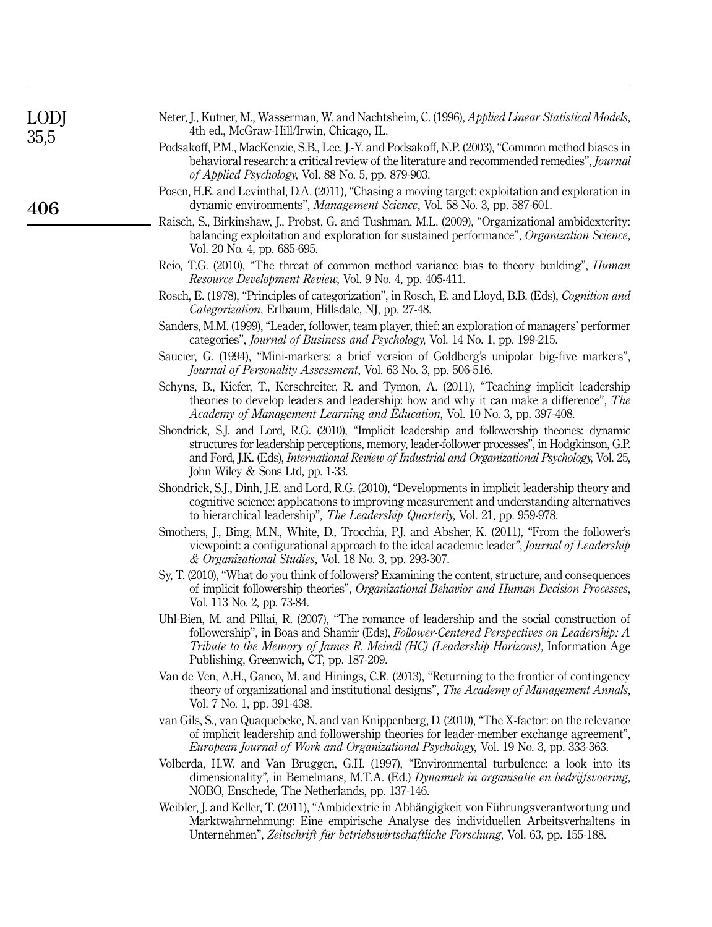| LODI | Neter, J., Kutner, M., Wasserman, W. and Nachtsheim, C. (1996), Applied Linear Statistical Models,<br>4th ed., McGraw-Hill/Irwin, Chicago, IL.                                                                                                                                                                                           |
|------|------------------------------------------------------------------------------------------------------------------------------------------------------------------------------------------------------------------------------------------------------------------------------------------------------------------------------------------|
| 35,5 | Podsakoff, P.M., MacKenzie, S.B., Lee, J.-Y. and Podsakoff, N.P. (2003), "Common method biases in<br>behavioral research: a critical review of the literature and recommended remedies", <i>Journal</i><br>of Applied Psychology, Vol. 88 No. 5, pp. 879-903.                                                                            |
| 406  | Posen, H.E. and Levinthal, D.A. (2011), "Chasing a moving target: exploitation and exploration in<br>dynamic environments", <i>Management Science</i> , Vol. 58 No. 3, pp. 587-601.                                                                                                                                                      |
|      | Raisch, S., Birkinshaw, J., Probst, G. and Tushman, M.L. (2009), "Organizational ambidexterity:<br>balancing exploitation and exploration for sustained performance", Organization Science,<br>Vol. 20 No. 4, pp. 685-695.                                                                                                               |
|      | Reio, T.G. (2010), "The threat of common method variance bias to theory building", <i>Human</i><br>Resource Development Review, Vol. 9 No. 4, pp. 405-411.                                                                                                                                                                               |
|      | Rosch, E. (1978), "Principles of categorization", in Rosch, E. and Lloyd, B.B. (Eds), Cognition and<br><i>Categorization</i> , Erlbaum, Hillsdale, NJ, pp. 27-48.                                                                                                                                                                        |
|      | Sanders, M.M. (1999), "Leader, follower, team player, thief: an exploration of managers' performer<br>categories", Journal of Business and Psychology, Vol. 14 No. 1, pp. 199-215.                                                                                                                                                       |
|      | Saucier, G. (1994), "Mini-markers: a brief version of Goldberg's unipolar big-five markers",<br>Journal of Personality Assessment, Vol. 63 No. 3, pp. 506-516.                                                                                                                                                                           |
|      | Schyns, B., Kiefer, T., Kerschreiter, R. and Tymon, A. (2011), "Teaching implicit leadership<br>theories to develop leaders and leadership: how and why it can make a difference", The<br>Academy of Management Learning and Education, Vol. 10 No. 3, pp. 397-408.                                                                      |
|      | Shondrick, S.J. and Lord, R.G. (2010), "Implicit leadership and followership theories: dynamic<br>structures for leadership perceptions, memory, leader-follower processes", in Hodgkinson, G.P.<br>and Ford, J.K. (Eds), International Review of Industrial and Organizational Psychology, Vol. 25,<br>John Wiley & Sons Ltd, pp. 1-33. |
|      | Shondrick, S.J., Dinh, J.E. and Lord, R.G. (2010), "Developments in implicit leadership theory and<br>cognitive science: applications to improving measurement and understanding alternatives<br>to hierarchical leadership", The Leadership Quarterly, Vol. 21, pp. 959-978.                                                            |
|      | Smothers, J., Bing, M.N., White, D., Trocchia, P.J. and Absher, K. (2011), "From the follower's<br>viewpoint: a configurational approach to the ideal academic leader", Journal of Leadership<br>& Organizational Studies, Vol. 18 No. 3, pp. 293-307.                                                                                   |
|      | Sy, T. (2010), "What do you think of followers? Examining the content, structure, and consequences<br>of implicit followership theories", Organizational Behavior and Human Decision Processes,<br>Vol. 113 No. 2, pp. 73-84.                                                                                                            |
|      | Uhl-Bien, M. and Pillai, R. (2007), "The romance of leadership and the social construction of<br>followership", in Boas and Shamir (Eds), Follower-Centered Perspectives on Leadership: A<br>Tribute to the Memory of James R. Meindl (HC) (Leadership Horizons), Information Age<br>Publishing, Greenwich, CT, pp. 187-209.             |
|      | Van de Ven, A.H., Ganco, M. and Hinings, C.R. (2013), "Returning to the frontier of contingency<br>theory of organizational and institutional designs", The Academy of Management Annals,<br>Vol. 7 No. 1, pp. 391-438.                                                                                                                  |
|      | van Gils, S., van Quaquebeke, N. and van Knippenberg, D. (2010), "The X-factor: on the relevance<br>of implicit leadership and followership theories for leader-member exchange agreement",<br>European Journal of Work and Organizational Psychology, Vol. 19 No. 3, pp. 333-363.                                                       |
|      | Volberda, H.W. and Van Bruggen, G.H. (1997), "Environmental turbulence: a look into its<br>dimensionality", in Bemelmans, M.T.A. (Ed.) Dynamiek in organisatie en bedrijfsvoering,<br>NOBO, Enschede, The Netherlands, pp. 137-146.                                                                                                      |
|      | Weibler, J. and Keller, T. (2011), "Ambidextrie in Abhängigkeit von Führungsverantwortung und<br>Marktwahrnehmung: Eine empirische Analyse des individuellen Arbeitsverhaltens in<br>Unternehmen", Zeitschrift für betriebswirtschaftliche Forschung, Vol. 63, pp. 155-188.                                                              |
|      |                                                                                                                                                                                                                                                                                                                                          |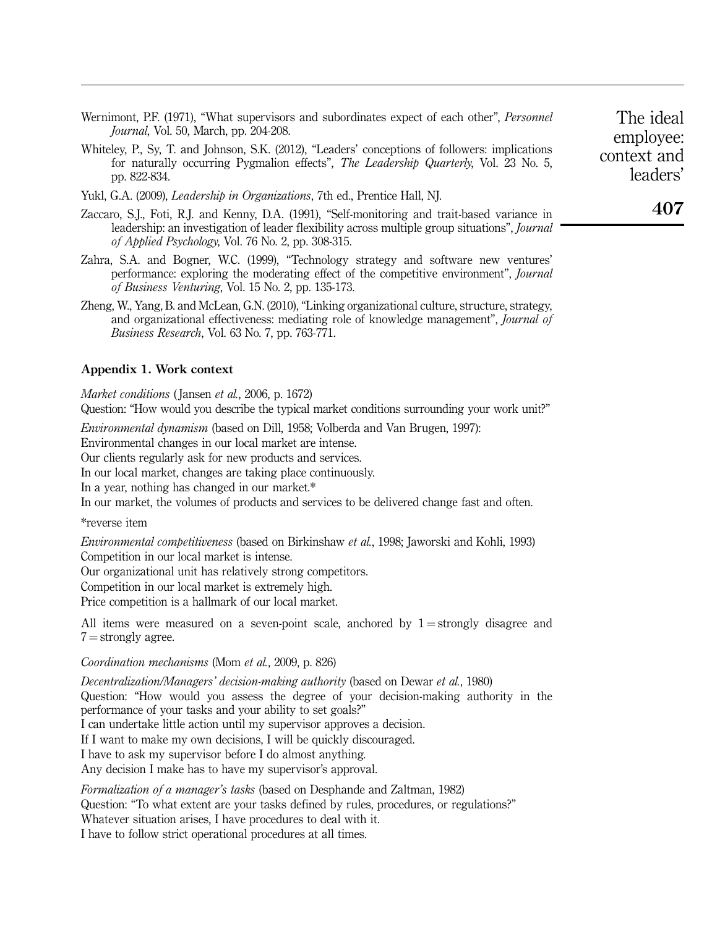Wernimont, P.F. (1971), "What supervisors and subordinates expect of each other", *Personnel* Journal, Vol. 50, March, pp. 204-208.

- Whiteley, P., Sy, T. and Johnson, S.K. (2012), "Leaders' conceptions of followers: implications for naturally occurring Pygmalion effects", The Leadership Quarterly, Vol. 23 No. 5, pp. 822-834.
- Yukl, G.A. (2009), *Leadership in Organizations*, 7th ed., Prentice Hall, NJ.
- Zaccaro, S.J., Foti, R.J. and Kenny, D.A. (1991), "Self-monitoring and trait-based variance in leadership: an investigation of leader flexibility across multiple group situations", Journal of Applied Psychology, Vol. 76 No. 2, pp. 308-315.
- Zahra, S.A. and Bogner, W.C. (1999), "Technology strategy and software new ventures' performance: exploring the moderating effect of the competitive environment", Journal of Business Venturing, Vol. 15 No. 2, pp. 135-173.
- Zheng, W., Yang, B. and McLean, G.N. (2010), "Linking organizational culture, structure, strategy, and organizational effectiveness: mediating role of knowledge management", Journal of Business Research, Vol. 63 No. 7, pp. 763-771.

#### Appendix 1. Work context

Market conditions (Jansen et al., 2006, p. 1672)

Question: "How would you describe the typical market conditions surrounding your work unit?"

Environmental dynamism (based on Dill, 1958; Volberda and Van Brugen, 1997):

Environmental changes in our local market are intense.

Our clients regularly ask for new products and services.

In our local market, changes are taking place continuously.

In a year, nothing has changed in our market.\*

In our market, the volumes of products and services to be delivered change fast and often.

\*reverse item

Environmental competitiveness (based on Birkinshaw et al., 1998; Jaworski and Kohli, 1993) Competition in our local market is intense.

Our organizational unit has relatively strong competitors.

Competition in our local market is extremely high.

Price competition is a hallmark of our local market.

All items were measured on a seven-point scale, anchored by  $1 =$  strongly disagree and  $7 =$ strongly agree.

Coordination mechanisms (Mom et al., 2009, p. 826)

Decentralization/Managers' decision-making authority (based on Dewar et al., 1980) Question: "How would you assess the degree of your decision-making authority in the performance of your tasks and your ability to set goals?" I can undertake little action until my supervisor approves a decision. If I want to make my own decisions, I will be quickly discouraged. I have to ask my supervisor before I do almost anything. Any decision I make has to have my supervisor's approval.

Formalization of a manager's tasks (based on Desphande and Zaltman, 1982) Question: "To what extent are your tasks defined by rules, procedures, or regulations?" Whatever situation arises, I have procedures to deal with it. I have to follow strict operational procedures at all times.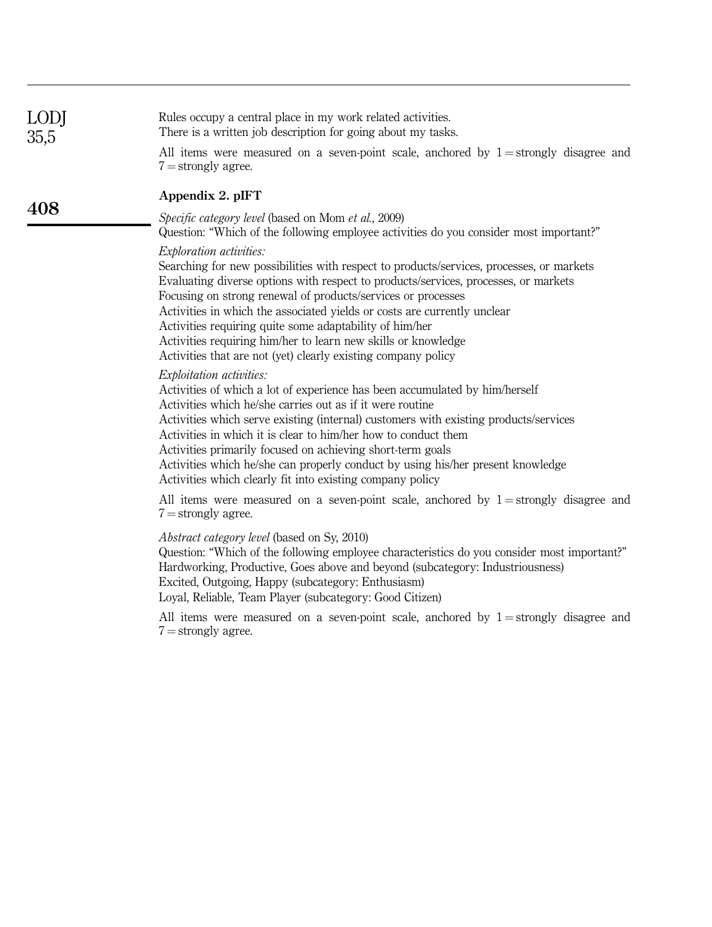| <b>LODJ</b><br>35,5 | Rules occupy a central place in my work related activities.<br>There is a written job description for going about my tasks.                                                                                                                                                                                                                                                                                                                                                                                                                         |
|---------------------|-----------------------------------------------------------------------------------------------------------------------------------------------------------------------------------------------------------------------------------------------------------------------------------------------------------------------------------------------------------------------------------------------------------------------------------------------------------------------------------------------------------------------------------------------------|
|                     | All items were measured on a seven-point scale, anchored by $1 =$ strongly disagree and<br>$7 =$ strongly agree.                                                                                                                                                                                                                                                                                                                                                                                                                                    |
| 408                 | Appendix 2. pIFT                                                                                                                                                                                                                                                                                                                                                                                                                                                                                                                                    |
|                     | <i>Specific category level</i> (based on Mom <i>et al.</i> , 2009)<br>Question: "Which of the following employee activities do you consider most important?"<br><i>Exploration activities:</i><br>Searching for new possibilities with respect to products/services, processes, or markets<br>Evaluating diverse options with respect to products/services, processes, or markets<br>Focusing on strong renewal of products/services or processes                                                                                                   |
|                     | Activities in which the associated yields or costs are currently unclear<br>Activities requiring quite some adaptability of him/her<br>Activities requiring him/her to learn new skills or knowledge<br>Activities that are not (yet) clearly existing company policy                                                                                                                                                                                                                                                                               |
|                     | <i>Exploitation activities:</i><br>Activities of which a lot of experience has been accumulated by him/herself<br>Activities which he/she carries out as if it were routine<br>Activities which serve existing (internal) customers with existing products/services<br>Activities in which it is clear to him/her how to conduct them<br>Activities primarily focused on achieving short-term goals<br>Activities which he/she can properly conduct by using his/her present knowledge<br>Activities which clearly fit into existing company policy |
|                     | All items were measured on a seven-point scale, andhored by $1 =$ strongly disagree and<br>$7 =$ strongly agree.                                                                                                                                                                                                                                                                                                                                                                                                                                    |
|                     | Abstract category level (based on Sy, 2010)<br>Question: "Which of the following employee characteristics do you consider most important?"<br>Hardworking, Productive, Goes above and beyond (subcategory: Industriousness)<br>Excited, Outgoing, Happy (subcategory: Enthusiasm)                                                                                                                                                                                                                                                                   |

Loyal, Reliable, Team Player (subcategory: Good Citizen)

All items were measured on a seven-point scale, anchored by  $1 =$  strongly disagree and  $7 =$ strongly agree.